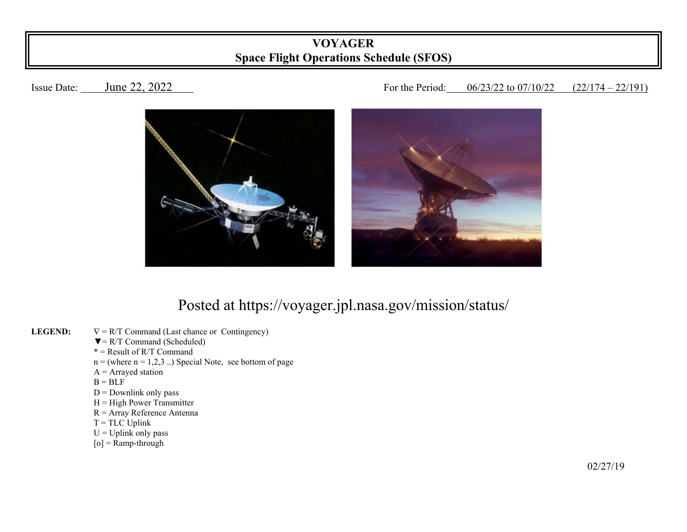## **VOYAGER Space Flight Operations Schedule (SFOS)**

## Issue Date: June 22, 2022 **Issue Date:** June 22, 2022



## Posted at https://voyager.jpl.nasa.gov/mission/status/

- **LEGEND:**   $\nabla = R/T$  Command (Last chance or Contingency)
	- $\nabla = R/T$  Command (Scheduled)
- $* =$ Result of R/T Command
	- $n =$  (where  $n = 1,2,3$ ...) Special Note, see bottom of page
	- $A =$  Arrayed station
- $B = BLF$ 
	- $D =$  Downlink only pass
	- $H = High Power Transmitter$
	- R = Array Reference Antenna
	- $T = TLC$  Uplink
	- $U = U$ plink only pass
	- $[o]$  = Ramp-through

 $\frac{02}{27/19}$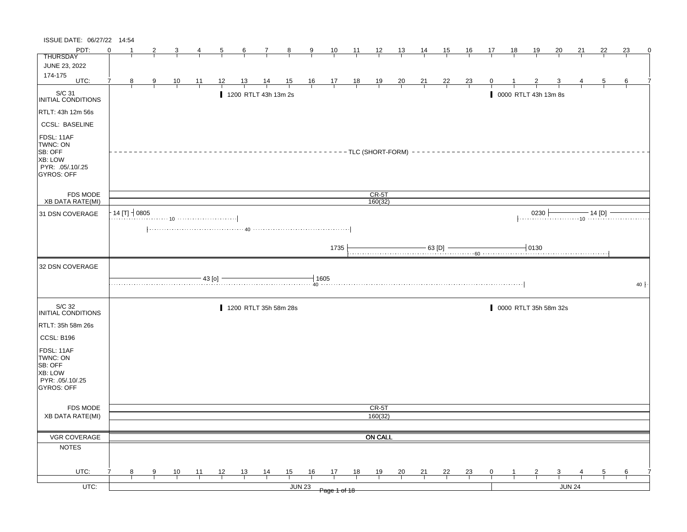| PDT:<br>$\Omega$<br>23<br>10<br>$-11$<br>12<br>13<br>15<br><u>16</u><br>18<br><u> 19</u><br><u>20</u><br><u>21</u><br>22<br>5<br>6<br>$\mathbf{7}$<br>$_{8}$<br>9<br>$\frac{14}{1}$<br>17<br><b>THURSDAY</b><br>JUNE 23, 2022<br>174-175<br>UTC:<br>$\frac{14}{1}$<br>$\frac{15}{1}$<br>$\frac{16}{1}$ $\frac{17}{1}$ $\frac{18}{1}$<br>$\frac{19}{1}$<br>$\frac{20}{1}$<br>$\frac{21}{1}$<br>$\frac{22}{1}$<br>7<br>8<br>$\frac{10}{1}$<br>$\frac{11}{1}$<br>12<br>13<br>$\frac{23}{1}$<br>0<br>9<br>5<br>6<br>S/C 31<br>1200 RTLT 43h 13m 2s<br>0000 RTLT 43h 13m 8s<br>INITIAL CONDITIONS<br>RTLT: 43h 12m 56s<br><b>CCSL: BASELINE</b><br>FDSL: 11AF<br>TWNC: ON<br><b>SB: OFF</b><br>----------TLC (SHORT-FORM) --<br>--------------------------<br><b>XB: LOW</b><br>PYR: .05/.10/.25<br><b>GYROS: OFF</b><br>CR-5T<br><b>FDS MODE</b><br><b>XB DATA RATE(MI)</b><br>160(32)<br>14 [T] $+ 0805$<br>$\begin{array}{ c c c c c }\n \hline\n 0230 & 14 [D] \hline\n \end{array}$<br>31 DSN COVERAGE<br>1735<br>$\begin{array}{c c c c c c c c c} \hline \multicolumn{3}{c }{\textbf{63 [D]}} & \multicolumn{3}{c }{\textbf{64 [D]}} & \multicolumn{3}{c }{\textbf{65 [D]}} & \multicolumn{3}{c }{\textbf{66 [D]}}\\ \hline \multicolumn{3}{c }{\textbf{67 [D]}} & \multicolumn{3}{c }{\textbf{68 [D]}} & \multicolumn{3}{c }{\textbf{69 [D]}} & \multicolumn{3}{c }{\textbf{60 [D]}}\\ \hline \multicolumn{3}{c }{\textbf{60 [D]}}$<br>32 DSN COVERAGE<br>1605<br>43 [o]<br>40<br>S/C 32<br>1200 RTLT 35h 58m 28s<br>0000 RTLT 35h 58m 32s<br>INITIAL CONDITIONS<br>RTLT: 35h 58m 26s<br>CCSL: B196<br>FDSL: 11AF<br>TWNC: ON<br>SB: OFF<br>XB: LOW<br>PYR: .05/.10/.25<br>GYROS: OFF<br>CR-5T<br><b>FDS MODE</b><br>160(32)<br>XB DATA RATE(MI)<br>VGR COVERAGE<br><b>ON CALL</b><br><b>NOTES</b><br>UTC:<br>13<br>15<br>16<br>17<br>18<br>19<br>21<br>22<br>10<br>11<br>12<br>20<br>0<br>8<br>9<br>5<br>6 | ISSUE DATE: 06/27/22 14:54 |  |  |  |                |  |  |  |  |                |  |  |  |   |
|----------------------------------------------------------------------------------------------------------------------------------------------------------------------------------------------------------------------------------------------------------------------------------------------------------------------------------------------------------------------------------------------------------------------------------------------------------------------------------------------------------------------------------------------------------------------------------------------------------------------------------------------------------------------------------------------------------------------------------------------------------------------------------------------------------------------------------------------------------------------------------------------------------------------------------------------------------------------------------------------------------------------------------------------------------------------------------------------------------------------------------------------------------------------------------------------------------------------------------------------------------------------------------------------------------------------------------------------------------------------------------------------------------------------------------------------------------------------------------------------------------------------------------------------------------------------------------------------------------------------------------------------------------------------------------------------------------------------------------------------------------------------------------------------------------------------------------------------------------------------------------------------------------------|----------------------------|--|--|--|----------------|--|--|--|--|----------------|--|--|--|---|
|                                                                                                                                                                                                                                                                                                                                                                                                                                                                                                                                                                                                                                                                                                                                                                                                                                                                                                                                                                                                                                                                                                                                                                                                                                                                                                                                                                                                                                                                                                                                                                                                                                                                                                                                                                                                                                                                                                                |                            |  |  |  |                |  |  |  |  |                |  |  |  | 0 |
|                                                                                                                                                                                                                                                                                                                                                                                                                                                                                                                                                                                                                                                                                                                                                                                                                                                                                                                                                                                                                                                                                                                                                                                                                                                                                                                                                                                                                                                                                                                                                                                                                                                                                                                                                                                                                                                                                                                |                            |  |  |  |                |  |  |  |  |                |  |  |  |   |
|                                                                                                                                                                                                                                                                                                                                                                                                                                                                                                                                                                                                                                                                                                                                                                                                                                                                                                                                                                                                                                                                                                                                                                                                                                                                                                                                                                                                                                                                                                                                                                                                                                                                                                                                                                                                                                                                                                                |                            |  |  |  |                |  |  |  |  |                |  |  |  |   |
|                                                                                                                                                                                                                                                                                                                                                                                                                                                                                                                                                                                                                                                                                                                                                                                                                                                                                                                                                                                                                                                                                                                                                                                                                                                                                                                                                                                                                                                                                                                                                                                                                                                                                                                                                                                                                                                                                                                |                            |  |  |  |                |  |  |  |  |                |  |  |  |   |
|                                                                                                                                                                                                                                                                                                                                                                                                                                                                                                                                                                                                                                                                                                                                                                                                                                                                                                                                                                                                                                                                                                                                                                                                                                                                                                                                                                                                                                                                                                                                                                                                                                                                                                                                                                                                                                                                                                                |                            |  |  |  |                |  |  |  |  |                |  |  |  |   |
|                                                                                                                                                                                                                                                                                                                                                                                                                                                                                                                                                                                                                                                                                                                                                                                                                                                                                                                                                                                                                                                                                                                                                                                                                                                                                                                                                                                                                                                                                                                                                                                                                                                                                                                                                                                                                                                                                                                |                            |  |  |  |                |  |  |  |  |                |  |  |  |   |
|                                                                                                                                                                                                                                                                                                                                                                                                                                                                                                                                                                                                                                                                                                                                                                                                                                                                                                                                                                                                                                                                                                                                                                                                                                                                                                                                                                                                                                                                                                                                                                                                                                                                                                                                                                                                                                                                                                                |                            |  |  |  |                |  |  |  |  |                |  |  |  |   |
|                                                                                                                                                                                                                                                                                                                                                                                                                                                                                                                                                                                                                                                                                                                                                                                                                                                                                                                                                                                                                                                                                                                                                                                                                                                                                                                                                                                                                                                                                                                                                                                                                                                                                                                                                                                                                                                                                                                |                            |  |  |  |                |  |  |  |  |                |  |  |  |   |
|                                                                                                                                                                                                                                                                                                                                                                                                                                                                                                                                                                                                                                                                                                                                                                                                                                                                                                                                                                                                                                                                                                                                                                                                                                                                                                                                                                                                                                                                                                                                                                                                                                                                                                                                                                                                                                                                                                                |                            |  |  |  |                |  |  |  |  |                |  |  |  |   |
|                                                                                                                                                                                                                                                                                                                                                                                                                                                                                                                                                                                                                                                                                                                                                                                                                                                                                                                                                                                                                                                                                                                                                                                                                                                                                                                                                                                                                                                                                                                                                                                                                                                                                                                                                                                                                                                                                                                |                            |  |  |  |                |  |  |  |  |                |  |  |  |   |
|                                                                                                                                                                                                                                                                                                                                                                                                                                                                                                                                                                                                                                                                                                                                                                                                                                                                                                                                                                                                                                                                                                                                                                                                                                                                                                                                                                                                                                                                                                                                                                                                                                                                                                                                                                                                                                                                                                                |                            |  |  |  |                |  |  |  |  |                |  |  |  |   |
|                                                                                                                                                                                                                                                                                                                                                                                                                                                                                                                                                                                                                                                                                                                                                                                                                                                                                                                                                                                                                                                                                                                                                                                                                                                                                                                                                                                                                                                                                                                                                                                                                                                                                                                                                                                                                                                                                                                |                            |  |  |  |                |  |  |  |  |                |  |  |  |   |
|                                                                                                                                                                                                                                                                                                                                                                                                                                                                                                                                                                                                                                                                                                                                                                                                                                                                                                                                                                                                                                                                                                                                                                                                                                                                                                                                                                                                                                                                                                                                                                                                                                                                                                                                                                                                                                                                                                                |                            |  |  |  |                |  |  |  |  |                |  |  |  |   |
|                                                                                                                                                                                                                                                                                                                                                                                                                                                                                                                                                                                                                                                                                                                                                                                                                                                                                                                                                                                                                                                                                                                                                                                                                                                                                                                                                                                                                                                                                                                                                                                                                                                                                                                                                                                                                                                                                                                |                            |  |  |  |                |  |  |  |  |                |  |  |  |   |
|                                                                                                                                                                                                                                                                                                                                                                                                                                                                                                                                                                                                                                                                                                                                                                                                                                                                                                                                                                                                                                                                                                                                                                                                                                                                                                                                                                                                                                                                                                                                                                                                                                                                                                                                                                                                                                                                                                                |                            |  |  |  |                |  |  |  |  |                |  |  |  |   |
|                                                                                                                                                                                                                                                                                                                                                                                                                                                                                                                                                                                                                                                                                                                                                                                                                                                                                                                                                                                                                                                                                                                                                                                                                                                                                                                                                                                                                                                                                                                                                                                                                                                                                                                                                                                                                                                                                                                |                            |  |  |  |                |  |  |  |  |                |  |  |  |   |
|                                                                                                                                                                                                                                                                                                                                                                                                                                                                                                                                                                                                                                                                                                                                                                                                                                                                                                                                                                                                                                                                                                                                                                                                                                                                                                                                                                                                                                                                                                                                                                                                                                                                                                                                                                                                                                                                                                                |                            |  |  |  |                |  |  |  |  |                |  |  |  |   |
|                                                                                                                                                                                                                                                                                                                                                                                                                                                                                                                                                                                                                                                                                                                                                                                                                                                                                                                                                                                                                                                                                                                                                                                                                                                                                                                                                                                                                                                                                                                                                                                                                                                                                                                                                                                                                                                                                                                |                            |  |  |  |                |  |  |  |  |                |  |  |  |   |
|                                                                                                                                                                                                                                                                                                                                                                                                                                                                                                                                                                                                                                                                                                                                                                                                                                                                                                                                                                                                                                                                                                                                                                                                                                                                                                                                                                                                                                                                                                                                                                                                                                                                                                                                                                                                                                                                                                                |                            |  |  |  |                |  |  |  |  |                |  |  |  |   |
|                                                                                                                                                                                                                                                                                                                                                                                                                                                                                                                                                                                                                                                                                                                                                                                                                                                                                                                                                                                                                                                                                                                                                                                                                                                                                                                                                                                                                                                                                                                                                                                                                                                                                                                                                                                                                                                                                                                |                            |  |  |  |                |  |  |  |  |                |  |  |  |   |
|                                                                                                                                                                                                                                                                                                                                                                                                                                                                                                                                                                                                                                                                                                                                                                                                                                                                                                                                                                                                                                                                                                                                                                                                                                                                                                                                                                                                                                                                                                                                                                                                                                                                                                                                                                                                                                                                                                                |                            |  |  |  |                |  |  |  |  |                |  |  |  |   |
|                                                                                                                                                                                                                                                                                                                                                                                                                                                                                                                                                                                                                                                                                                                                                                                                                                                                                                                                                                                                                                                                                                                                                                                                                                                                                                                                                                                                                                                                                                                                                                                                                                                                                                                                                                                                                                                                                                                |                            |  |  |  |                |  |  |  |  |                |  |  |  |   |
|                                                                                                                                                                                                                                                                                                                                                                                                                                                                                                                                                                                                                                                                                                                                                                                                                                                                                                                                                                                                                                                                                                                                                                                                                                                                                                                                                                                                                                                                                                                                                                                                                                                                                                                                                                                                                                                                                                                |                            |  |  |  |                |  |  |  |  |                |  |  |  |   |
|                                                                                                                                                                                                                                                                                                                                                                                                                                                                                                                                                                                                                                                                                                                                                                                                                                                                                                                                                                                                                                                                                                                                                                                                                                                                                                                                                                                                                                                                                                                                                                                                                                                                                                                                                                                                                                                                                                                |                            |  |  |  |                |  |  |  |  |                |  |  |  |   |
|                                                                                                                                                                                                                                                                                                                                                                                                                                                                                                                                                                                                                                                                                                                                                                                                                                                                                                                                                                                                                                                                                                                                                                                                                                                                                                                                                                                                                                                                                                                                                                                                                                                                                                                                                                                                                                                                                                                |                            |  |  |  |                |  |  |  |  |                |  |  |  |   |
|                                                                                                                                                                                                                                                                                                                                                                                                                                                                                                                                                                                                                                                                                                                                                                                                                                                                                                                                                                                                                                                                                                                                                                                                                                                                                                                                                                                                                                                                                                                                                                                                                                                                                                                                                                                                                                                                                                                |                            |  |  |  | $\frac{14}{1}$ |  |  |  |  | $\frac{23}{4}$ |  |  |  |   |
| $UTC$ :<br>JUN 24<br><b>JUN 23</b><br>Page 1 of 18                                                                                                                                                                                                                                                                                                                                                                                                                                                                                                                                                                                                                                                                                                                                                                                                                                                                                                                                                                                                                                                                                                                                                                                                                                                                                                                                                                                                                                                                                                                                                                                                                                                                                                                                                                                                                                                             |                            |  |  |  |                |  |  |  |  |                |  |  |  |   |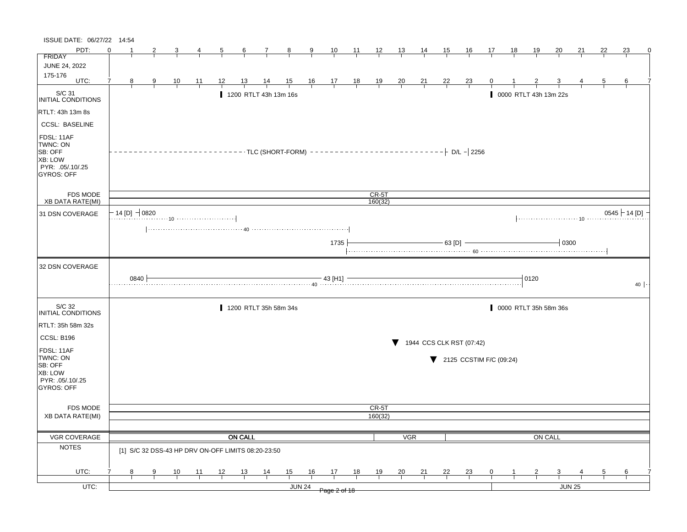| ISSUE DATE: 06/27/22 14:54                                                            |                     |      |    |    |                |                 |                                                    |                |                |                |                |                |                |                |           |                          |              |    |                       |               |    |    |                 |
|---------------------------------------------------------------------------------------|---------------------|------|----|----|----------------|-----------------|----------------------------------------------------|----------------|----------------|----------------|----------------|----------------|----------------|----------------|-----------|--------------------------|--------------|----|-----------------------|---------------|----|----|-----------------|
| PDT:                                                                                  | ∩                   | 2    |    |    | $\overline{5}$ | $6\overline{6}$ | $\mathcal{I}$                                      | $_{8}$         | 9              | 10             | 11             | $\frac{12}{1}$ | 13             | $\frac{14}{1}$ | 15        | <u>16</u>                | 17           | 18 | <u>19</u>             | <u>20</u>     | 21 | 22 | 23<br>0         |
| <b>FRIDAY</b>                                                                         |                     |      |    |    |                |                 |                                                    |                |                |                |                |                |                |                |           |                          |              |    |                       |               |    |    |                 |
| <b>JUNE 24, 2022</b>                                                                  |                     |      |    |    |                |                 |                                                    |                |                |                |                |                |                |                |           |                          |              |    |                       |               |    |    |                 |
| 175-176<br>UTC:                                                                       | 8<br>7              | 9    | 10 | 11 | 12             | 13              |                                                    | $\frac{15}{1}$ |                |                |                |                |                |                | <u>22</u> |                          | $\mathbf{0}$ |    |                       |               |    | 5  | 6               |
|                                                                                       |                     |      |    |    |                |                 |                                                    |                | $\frac{16}{1}$ | $\frac{17}{1}$ | $\frac{18}{1}$ | $\frac{19}{1}$ | $\frac{20}{1}$ | $\frac{21}{1}$ |           | $\frac{23}{ }$           |              |    |                       |               |    |    |                 |
| S/C 31<br>INITIAL CONDITIONS                                                          |                     |      |    |    |                |                 | 1200 RTLT 43h 13m 16s                              |                |                |                |                |                |                |                |           |                          |              |    | 0000 RTLT 43h 13m 22s |               |    |    |                 |
| RTLT: 43h 13m 8s                                                                      |                     |      |    |    |                |                 |                                                    |                |                |                |                |                |                |                |           |                          |              |    |                       |               |    |    |                 |
| <b>CCSL: BASELINE</b>                                                                 |                     |      |    |    |                |                 |                                                    |                |                |                |                |                |                |                |           |                          |              |    |                       |               |    |    |                 |
| FDSL: 11AF<br>TWNC: ON<br>SB: OFF<br>XB: LOW<br>PYR: .05/.10/.25<br><b>GYROS: OFF</b> |                     |      |    |    |                |                 |                                                    |                |                |                |                |                |                |                |           |                          |              |    |                       |               |    |    |                 |
| <b>FDS MODE</b>                                                                       |                     |      |    |    |                |                 |                                                    |                |                |                |                | $CR-5T$        |                |                |           |                          |              |    |                       |               |    |    |                 |
| <b>XB DATA RATE(MI)</b>                                                               |                     |      |    |    |                |                 |                                                    |                |                |                |                | 160(32)        |                |                |           |                          |              |    |                       |               |    |    |                 |
| 31 DSN COVERAGE                                                                       | $-$ 14 [D] $-$ 0820 |      |    |    |                |                 |                                                    |                |                |                |                |                |                |                |           |                          |              |    |                       |               |    |    | $0545$ + 14 [D] |
|                                                                                       |                     |      |    |    |                |                 |                                                    |                |                |                |                |                |                |                |           |                          |              |    |                       |               |    |    |                 |
|                                                                                       |                     |      |    |    |                |                 |                                                    |                |                | 1735           |                |                |                |                | 63 [D]    |                          |              |    |                       | 0300          |    |    |                 |
| 32 DSN COVERAGE                                                                       |                     |      |    |    |                |                 |                                                    |                |                |                |                |                |                |                |           |                          |              |    |                       |               |    |    |                 |
|                                                                                       |                     | 0840 |    |    |                |                 |                                                    |                |                | - 43 [H1] -    |                |                |                |                |           |                          |              |    | 10120                 |               |    |    | 40              |
| S/C 32<br>INITIAL CONDITIONS                                                          |                     |      |    |    |                |                 | 1200 RTLT 35h 58m 34s                              |                |                |                |                |                |                |                |           |                          |              |    | 0000 RTLT 35h 58m 36s |               |    |    |                 |
| RTLT: 35h 58m 32s                                                                     |                     |      |    |    |                |                 |                                                    |                |                |                |                |                |                |                |           |                          |              |    |                       |               |    |    |                 |
| CCSL: B196                                                                            |                     |      |    |    |                |                 |                                                    |                |                |                |                |                |                |                |           | 1944 CCS CLK RST (07:42) |              |    |                       |               |    |    |                 |
| FDSL: 11AF<br>TWNC: ON<br>SB: OFF<br>XB: LOW<br>PYR: .05/.10/.25<br><b>GYROS: OFF</b> |                     |      |    |    |                |                 |                                                    |                |                |                |                |                |                |                |           | 2125 CCSTIM F/C (09:24)  |              |    |                       |               |    |    |                 |
| FDS MODE                                                                              |                     |      |    |    |                |                 |                                                    |                |                |                |                | CR-5T          |                |                |           |                          |              |    |                       |               |    |    |                 |
| <b>XB DATA RATE(MI)</b>                                                               |                     |      |    |    |                |                 |                                                    |                |                |                |                | 160(32)        |                |                |           |                          |              |    |                       |               |    |    |                 |
| VGR COVERAGE                                                                          |                     |      |    |    |                | <b>ON CALL</b>  |                                                    |                |                |                |                |                | <b>VGR</b>     |                |           |                          |              |    | ON CALL               |               |    |    |                 |
| <b>NOTES</b>                                                                          |                     |      |    |    |                |                 | [1] S/C 32 DSS-43 HP DRV ON-OFF LIMITS 08:20-23:50 |                |                |                |                |                |                |                |           |                          |              |    |                       |               |    |    |                 |
| UTC:                                                                                  | 8                   | 9    | 10 | 11 | 12             | 13              | 14                                                 | 15             | 16             | 17             | 18             | 19             | 20             | 21             | 22        | <u>23</u>                | 0            |    |                       | 3             |    | 5  | 6               |
|                                                                                       |                     |      |    |    |                |                 |                                                    |                |                |                |                |                |                |                |           |                          |              |    |                       |               |    |    |                 |
| $UTC$ :                                                                               |                     |      |    |    |                |                 |                                                    |                | <b>JUN 24</b>  | Page 2 of 18   |                |                |                |                |           |                          |              |    |                       | <b>JUN 25</b> |    |    |                 |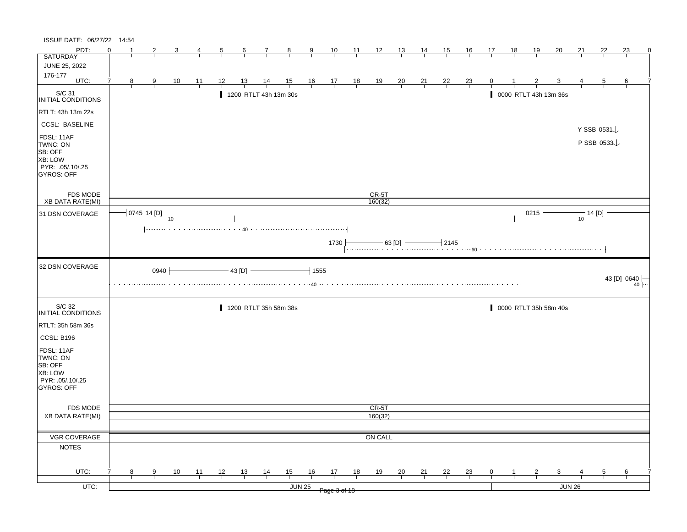| ISSUE DATE: 06/27/22 14:54                                                            |          |   |                |                |    |    |                 |                |                       |                |                                                               |    |                    |                |                |                |                |    |    |                |                                  |        |             |             |                 |
|---------------------------------------------------------------------------------------|----------|---|----------------|----------------|----|----|-----------------|----------------|-----------------------|----------------|---------------------------------------------------------------|----|--------------------|----------------|----------------|----------------|----------------|----|----|----------------|----------------------------------|--------|-------------|-------------|-----------------|
| PDT:                                                                                  | $\Omega$ |   | 2              | 3              | 4  | 5  | $6\overline{6}$ | 7              | $_{8}$                | $\overline{9}$ | 10                                                            | 11 | $\frac{12}{ }$     | 13             | 14             | <u>15</u>      | <u>16</u>      | 17 | 18 | 19             | 20                               | 21     | 22          | 23          | 0               |
| <b>SATURDAY</b>                                                                       |          |   |                |                |    |    |                 |                |                       |                |                                                               |    |                    |                |                |                |                |    |    |                |                                  |        |             |             |                 |
| JUNE 25, 2022                                                                         |          |   |                |                |    |    |                 |                |                       |                |                                                               |    |                    |                |                |                |                |    |    |                |                                  |        |             |             |                 |
| 176-177<br>UTC:                                                                       | 7        | 8 | $\overline{9}$ | $\frac{10}{1}$ | 11 | 12 | <u>13</u>       | $\frac{14}{1}$ |                       |                |                                                               |    |                    |                |                |                |                | 0  |    |                |                                  |        | 5           | 6           |                 |
|                                                                                       |          |   |                |                |    |    |                 |                | $\frac{15}{1}$        |                | $\begin{array}{c ccccc}\n16 & 17 & 18 \\ \hline\n\end{array}$ |    | $\frac{19}{1}$     | $\frac{20}{1}$ | $\frac{21}{1}$ | $\frac{22}{1}$ | $\frac{23}{1}$ |    |    |                |                                  |        |             |             |                 |
| S/C 31<br>INITIAL CONDITIONS                                                          |          |   |                |                |    |    |                 |                | 1200 RTLT 43h 13m 30s |                |                                                               |    |                    |                |                |                |                |    |    |                | 0000 RTLT 43h 13m 36s            |        |             |             |                 |
| RTLT: 43h 13m 22s                                                                     |          |   |                |                |    |    |                 |                |                       |                |                                                               |    |                    |                |                |                |                |    |    |                |                                  |        |             |             |                 |
| <b>CCSL: BASELINE</b>                                                                 |          |   |                |                |    |    |                 |                |                       |                |                                                               |    |                    |                |                |                |                |    |    |                |                                  |        | Y SSB 0531↓ |             |                 |
| FDSL: 11AF<br>TWNC: ON<br>SB: OFF<br>XB: LOW<br>PYR: .05/.10/.25<br><b>GYROS: OFF</b> |          |   |                |                |    |    |                 |                |                       |                |                                                               |    |                    |                |                |                |                |    |    |                |                                  |        | P SSB 0533  |             |                 |
| FDS MODE<br>XB DATA RATE(MI)                                                          |          |   |                |                |    |    |                 |                |                       |                |                                                               |    | $CR-5T$<br>160(32) |                |                |                |                |    |    |                |                                  |        |             |             |                 |
|                                                                                       |          |   | 0745 14 [D]    |                |    |    |                 |                |                       |                |                                                               |    |                    |                |                |                |                |    |    | 0215           |                                  |        |             |             |                 |
| 31 DSN COVERAGE                                                                       |          |   |                |                |    |    |                 |                |                       |                |                                                               |    |                    |                |                |                |                |    |    |                | 0215 $\frac{14 \text{ [D]}}{10}$ |        |             |             |                 |
|                                                                                       |          |   |                |                |    |    |                 |                |                       |                |                                                               |    |                    |                |                |                |                |    |    |                |                                  |        |             |             |                 |
|                                                                                       |          |   |                |                |    |    |                 |                |                       |                | 1730                                                          |    |                    |                |                |                |                |    |    |                |                                  |        |             |             |                 |
|                                                                                       |          |   |                |                |    |    |                 |                |                       |                |                                                               |    |                    |                |                |                |                |    |    |                |                                  |        |             |             |                 |
| 32 DSN COVERAGE                                                                       |          |   | $0940 +$       |                |    |    | $-43$ [D] $-$   |                |                       | $-1555$        |                                                               |    |                    |                |                |                |                |    |    |                |                                  |        |             |             |                 |
|                                                                                       |          |   |                |                |    |    |                 |                |                       |                |                                                               |    |                    |                |                |                |                |    |    |                |                                  |        |             | 43 [D] 0640 | 40 <sup>°</sup> |
| S/C 32<br>INITIAL CONDITIONS                                                          |          |   |                |                |    |    |                 |                | 1200 RTLT 35h 58m 38s |                |                                                               |    |                    |                |                |                |                |    |    |                | 0000 RTLT 35h 58m 40s            |        |             |             |                 |
| RTLT: 35h 58m 36s                                                                     |          |   |                |                |    |    |                 |                |                       |                |                                                               |    |                    |                |                |                |                |    |    |                |                                  |        |             |             |                 |
| CCSL: B196                                                                            |          |   |                |                |    |    |                 |                |                       |                |                                                               |    |                    |                |                |                |                |    |    |                |                                  |        |             |             |                 |
| FDSL: 11AF<br>TWNC: ON<br>SB: OFF<br>XB: LOW<br>PYR: .05/.10/.25<br>GYROS: OFF        |          |   |                |                |    |    |                 |                |                       |                |                                                               |    |                    |                |                |                |                |    |    |                |                                  |        |             |             |                 |
| FDS MODE                                                                              |          |   |                |                |    |    |                 |                |                       |                |                                                               |    | CR-5T              |                |                |                |                |    |    |                |                                  |        |             |             |                 |
| <b>XB DATA RATE(MI)</b>                                                               |          |   |                |                |    |    |                 |                |                       |                |                                                               |    | 160(32)            |                |                |                |                |    |    |                |                                  |        |             |             |                 |
|                                                                                       |          |   |                |                |    |    |                 |                |                       |                |                                                               |    |                    |                |                |                |                |    |    |                |                                  |        |             |             |                 |
| VGR COVERAGE                                                                          |          |   |                |                |    |    |                 |                |                       |                |                                                               |    | ON CALL            |                |                |                |                |    |    |                |                                  |        |             |             |                 |
| <b>NOTES</b>                                                                          |          |   |                |                |    |    |                 |                |                       |                |                                                               |    |                    |                |                |                |                |    |    |                |                                  |        |             |             |                 |
|                                                                                       |          |   |                |                |    |    |                 |                |                       |                |                                                               |    |                    |                |                |                |                |    |    |                |                                  |        |             |             |                 |
| UTC:                                                                                  | 7        | 8 | 9              | 10             | 11 | 12 | 13              | $\frac{14}{1}$ | 15                    | 16             | 17                                                            | 18 | 19                 | $\frac{20}{1}$ | 21             | 22             | $\frac{23}{1}$ | 0  |    | $\overline{2}$ | 3                                |        | 5           | 6           |                 |
| UTC:                                                                                  |          |   |                |                |    |    |                 |                |                       |                |                                                               |    |                    |                |                |                |                |    |    |                |                                  | JUN 26 |             |             |                 |
|                                                                                       |          |   |                |                |    |    |                 |                |                       | <b>JUN 25</b>  | Page 3 of 18                                                  |    |                    |                |                |                |                |    |    |                |                                  |        |             |             |                 |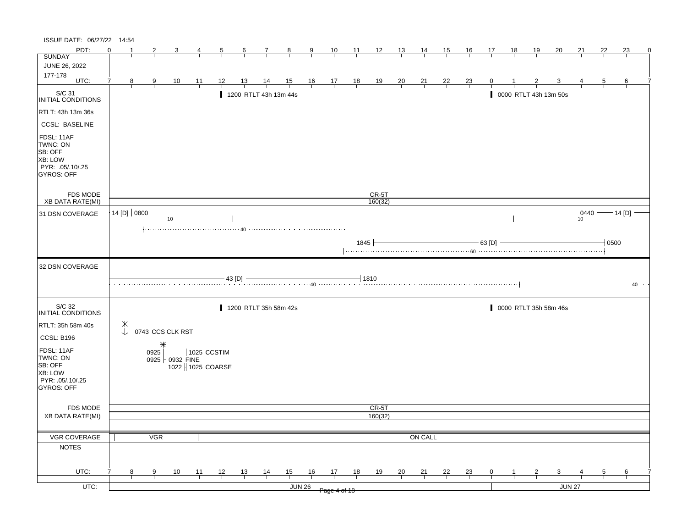| ISSUE DATE: 06/27/22 14:54                                                            |                                      |   |            |                                                              |                |                  |                 |                       |                |        |                                                      |                |                |                |                |                |                |                |    |                |                         |               |                |          |                |
|---------------------------------------------------------------------------------------|--------------------------------------|---|------------|--------------------------------------------------------------|----------------|------------------|-----------------|-----------------------|----------------|--------|------------------------------------------------------|----------------|----------------|----------------|----------------|----------------|----------------|----------------|----|----------------|-------------------------|---------------|----------------|----------|----------------|
| PDT:                                                                                  | $\Omega$                             |   | 2          |                                                              |                |                  | $6\overline{6}$ | 7                     | $\frac{8}{ }$  | 9      | $\frac{10}{ }$                                       | $\frac{11}{2}$ | $\frac{12}{1}$ | $\frac{13}{ }$ | <u>14</u>      | <u>15</u>      | <u>16</u>      | 17             | 18 | <u> 19</u>     | 20                      | 21            | 22             | 23       | $\mathbf{0}$   |
| <b>SUNDAY</b>                                                                         |                                      |   |            |                                                              |                |                  |                 |                       |                |        |                                                      |                |                |                |                |                |                |                |    |                |                         |               |                |          |                |
| JUNE 26, 2022<br>177-178                                                              |                                      |   |            |                                                              |                |                  |                 |                       |                |        |                                                      |                |                |                |                |                |                |                |    |                |                         |               |                |          |                |
| UTC:                                                                                  |                                      | 8 | 9          | $\frac{10}{1}$                                               | $\frac{11}{1}$ | <u>12</u>        | <u>13</u>       | <u>14</u>             | $\frac{15}{1}$ |        | $\begin{array}{c c}\n16 & 17 \\ \hline\n\end{array}$ | $\frac{18}{1}$ | $\frac{19}{1}$ | $\frac{20}{}$  | $\frac{21}{1}$ | $\frac{22}{1}$ | $\frac{23}{1}$ |                |    |                |                         |               | 5              | 6        |                |
| S/C 31<br>INITIAL CONDITIONS                                                          |                                      |   |            |                                                              |                |                  |                 | 1200 RTLT 43h 13m 44s |                |        |                                                      |                |                |                |                |                |                |                |    |                | 0000 RTLT 43h 13m 50s   |               |                |          |                |
| RTLT: 43h 13m 36s                                                                     |                                      |   |            |                                                              |                |                  |                 |                       |                |        |                                                      |                |                |                |                |                |                |                |    |                |                         |               |                |          |                |
| <b>CCSL: BASELINE</b>                                                                 |                                      |   |            |                                                              |                |                  |                 |                       |                |        |                                                      |                |                |                |                |                |                |                |    |                |                         |               |                |          |                |
| FDSL: 11AF<br>TWNC: ON<br>SB: OFF<br>XB: LOW<br>PYR: .05/.10/.25<br><b>GYROS: OFF</b> |                                      |   |            |                                                              |                |                  |                 |                       |                |        |                                                      |                |                |                |                |                |                |                |    |                |                         |               |                |          |                |
| FDS MODE                                                                              |                                      |   |            |                                                              |                |                  |                 |                       |                |        |                                                      |                | $CR-5T$        |                |                |                |                |                |    |                |                         |               |                |          |                |
| <b>XB DATA RATE(MI)</b>                                                               |                                      |   |            |                                                              |                |                  |                 |                       |                |        |                                                      |                | 160(32)        |                |                |                |                |                |    |                |                         |               |                |          |                |
| 31 DSN COVERAGE                                                                       | 14 [D] 0800                          |   |            |                                                              |                |                  |                 |                       |                |        |                                                      |                |                |                |                |                |                |                |    |                |                         | 0440          |                | — 14 [D] |                |
|                                                                                       |                                      |   |            |                                                              |                |                  |                 |                       |                |        |                                                      |                |                |                |                |                |                |                |    |                |                         |               |                |          |                |
|                                                                                       |                                      |   |            |                                                              |                |                  |                 |                       |                |        |                                                      | 1845           |                |                |                |                |                | $63$ [D]       |    |                |                         |               | $-10500$       |          |                |
| 32 DSN COVERAGE                                                                       |                                      |   |            |                                                              |                |                  |                 |                       |                |        |                                                      |                |                |                |                |                |                |                |    |                |                         |               |                |          |                |
|                                                                                       |                                      |   |            |                                                              |                |                  | - 43 [D] -      |                       |                |        |                                                      | $-1810$        |                |                |                |                |                |                |    |                |                         |               |                |          | $40$ $ \cdots$ |
| S/C 32<br>INITIAL CONDITIONS                                                          |                                      |   |            |                                                              |                |                  |                 | 1200 RTLT 35h 58m 42s |                |        |                                                      |                |                |                |                |                |                |                |    |                | 0000 RTLT 35h 58m 46s   |               |                |          |                |
| RTLT: 35h 58m 40s                                                                     | $\begin{matrix} * \\ * \end{matrix}$ |   |            |                                                              |                |                  |                 |                       |                |        |                                                      |                |                |                |                |                |                |                |    |                |                         |               |                |          |                |
| CCSL: B196                                                                            |                                      |   |            | 0743 CCS CLK RST                                             |                |                  |                 |                       |                |        |                                                      |                |                |                |                |                |                |                |    |                |                         |               |                |          |                |
| FDSL: 11AF                                                                            |                                      |   |            |                                                              |                |                  |                 |                       |                |        |                                                      |                |                |                |                |                |                |                |    |                |                         |               |                |          |                |
| TWNC: ON                                                                              |                                      |   |            | 0925 $\vdash$ - - - $\dashv$ 1025 CCSTIM<br>0925   0932 FINE |                |                  |                 |                       |                |        |                                                      |                |                |                |                |                |                |                |    |                |                         |               |                |          |                |
| SB: OFF                                                                               |                                      |   |            |                                                              |                | 1022 1025 COARSE |                 |                       |                |        |                                                      |                |                |                |                |                |                |                |    |                |                         |               |                |          |                |
| <b>XB: LOW</b><br>PYR: .05/.10/.25                                                    |                                      |   |            |                                                              |                |                  |                 |                       |                |        |                                                      |                |                |                |                |                |                |                |    |                |                         |               |                |          |                |
| <b>GYROS: OFF</b>                                                                     |                                      |   |            |                                                              |                |                  |                 |                       |                |        |                                                      |                |                |                |                |                |                |                |    |                |                         |               |                |          |                |
| FDS MODE                                                                              |                                      |   |            |                                                              |                |                  |                 |                       |                |        |                                                      |                | CR-5T          |                |                |                |                |                |    |                |                         |               |                |          |                |
| <b>XB DATA RATE(MI)</b>                                                               |                                      |   |            |                                                              |                |                  |                 |                       |                |        |                                                      |                | 160(32)        |                |                |                |                |                |    |                |                         |               |                |          |                |
|                                                                                       |                                      |   |            |                                                              |                |                  |                 |                       |                |        |                                                      |                |                |                |                |                |                |                |    |                |                         |               |                |          |                |
| VGR COVERAGE                                                                          |                                      |   | <b>VGR</b> |                                                              |                |                  |                 |                       |                |        |                                                      |                |                |                | ON CALL        |                |                |                |    |                |                         |               |                |          |                |
| <b>NOTES</b>                                                                          |                                      |   |            |                                                              |                |                  |                 |                       |                |        |                                                      |                |                |                |                |                |                |                |    |                |                         |               |                |          |                |
|                                                                                       |                                      |   |            |                                                              |                |                  |                 |                       |                |        |                                                      |                |                |                |                |                |                |                |    |                |                         |               |                |          |                |
| UTC:                                                                                  |                                      | 8 | 9          | $\frac{10}{ }$                                               | $\frac{11}{1}$ | $\frac{12}{1}$   | $\frac{13}{ }$  | $\frac{14}{1}$        | 15             | 16     | 17                                                   | 18             | <u>19</u>      | $\frac{20}{1}$ | $\frac{21}{1}$ | $\frac{22}{ }$ | $\frac{23}{1}$ | $\overline{0}$ |    | $\overline{z}$ | $\overline{\mathbf{3}}$ |               | $\overline{5}$ | 6        |                |
|                                                                                       |                                      |   |            |                                                              |                |                  |                 |                       |                |        |                                                      |                |                |                |                |                |                |                |    |                |                         |               |                |          |                |
| $UTC$ :                                                                               |                                      |   |            |                                                              |                |                  |                 |                       |                | JUN 26 | Page 4 of 18                                         |                |                |                |                |                |                |                |    |                |                         | <b>JUN 27</b> |                |          |                |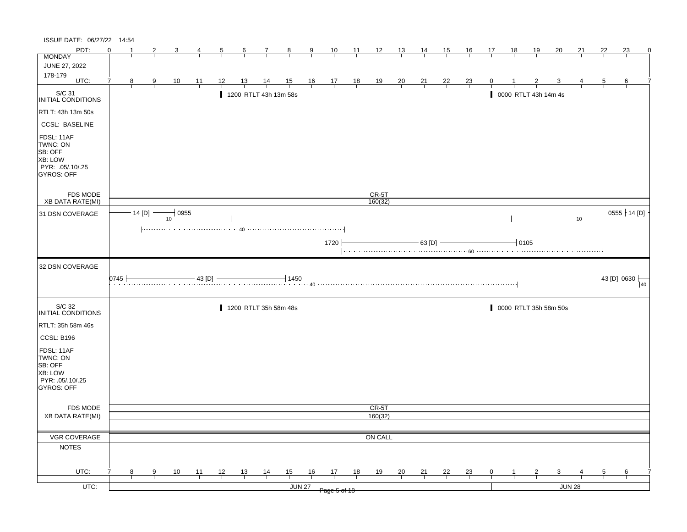| PDT:<br>$\Omega$<br>23<br>$\frac{10}{1}$<br>$\frac{11}{2}$<br>$\frac{12}{1}$<br>13<br>14<br>15<br><u>16</u><br>17<br>18<br><u>19</u><br>20<br>21<br>22<br>-1<br>2<br>6<br>$\frac{9}{2}$<br>$\overline{5}$<br>$\mathcal{I}$<br>$\frac{8}{ }$<br>4<br><b>MONDAY</b><br>JUNE 27, 2022<br>178-179<br>UTC:<br>$\begin{array}{c c}\n16 & 17 \\ \hline\n\end{array}$<br>7<br>12<br><u>13</u><br>$\frac{15}{1}$<br>$\frac{18}{1}$<br>$\frac{19}{1}$<br>$\frac{20}{1}$<br>$\frac{21}{1}$<br>$\frac{22}{1}$<br>8<br>$\frac{10}{1}$<br>$\frac{14}{1}$<br>$\frac{23}{1}$<br>6<br>$\overline{9}$<br>$\frac{11}{1}$<br>$\overline{5}$<br>S/C 31<br>INITIAL CONDITIONS<br>1200 RTLT 43h 13m 58s<br>0000 RTLT 43h 14m 4s<br>RTLT: 43h 13m 50s<br><b>CCSL: BASELINE</b><br>FDSL: 11AF<br>TWNC: ON<br>XB: LOW<br>PYR: .05/.10/.25<br>FDS MODE<br>$CR-5T$<br>160(32)<br>XB DATA RATE(MI)<br>$14$ [D] $-$<br>$-10955$<br>$0555 \nmid 14 [D]$<br>31 DSN COVERAGE<br>$\frac{1}{2}$ 0105<br>$-$ 63 [D] $-$<br>1720<br>32 DSN COVERAGE<br>43 [D] 0630<br> 0745 <br>$-43$ [D] $-$<br>1450<br>40<br>. 40<br>S/C 32<br>0000 RTLT 35h 58m 50s<br>1200 RTLT 35h 58m 48s<br><b>INITIAL CONDITIONS</b><br>RTLT: 35h 58m 46s<br>CCSL: B196<br>FDSL: 11AF<br>TWNC: ON<br>SB: OFF<br>XB: LOW<br>PYR: 05/10/25<br>GYROS: OFF<br>FDS MODE<br>CR-5T<br>160(32)<br><b>XB DATA RATE(MI)</b><br>VGR COVERAGE<br>ON CALL<br><b>NOTES</b><br>UTC:<br>$\frac{12}{ }$<br>$\frac{13}{ }$<br>$\frac{14}{1}$<br>$\frac{15}{1}$<br>16<br>$\frac{17}{2}$<br>18<br>19<br>$\frac{20}{1}$<br>$\frac{21}{1}$<br>$\frac{22}{1}$<br>8<br>$\frac{10}{1}$<br>$\frac{11}{1}$<br>$\frac{23}{1}$<br>$\overline{9}$<br>$\overline{0}$<br>$\overline{\mathbf{3}}$<br>$\overline{5}$<br>6<br>$\mathbf{Z}$<br>JUN 27<br>JUN 28<br>Page 5 of 18 | ISSUE DATE: 06/27/22 14:54 |  |  |  |  |  |  |  |  |  |  |  |  |   |
|--------------------------------------------------------------------------------------------------------------------------------------------------------------------------------------------------------------------------------------------------------------------------------------------------------------------------------------------------------------------------------------------------------------------------------------------------------------------------------------------------------------------------------------------------------------------------------------------------------------------------------------------------------------------------------------------------------------------------------------------------------------------------------------------------------------------------------------------------------------------------------------------------------------------------------------------------------------------------------------------------------------------------------------------------------------------------------------------------------------------------------------------------------------------------------------------------------------------------------------------------------------------------------------------------------------------------------------------------------------------------------------------------------------------------------------------------------------------------------------------------------------------------------------------------------------------------------------------------------------------------------------------------------------------------------------------------------------------------------------------------------------------------------|----------------------------|--|--|--|--|--|--|--|--|--|--|--|--|---|
|                                                                                                                                                                                                                                                                                                                                                                                                                                                                                                                                                                                                                                                                                                                                                                                                                                                                                                                                                                                                                                                                                                                                                                                                                                                                                                                                                                                                                                                                                                                                                                                                                                                                                                                                                                                |                            |  |  |  |  |  |  |  |  |  |  |  |  | 0 |
|                                                                                                                                                                                                                                                                                                                                                                                                                                                                                                                                                                                                                                                                                                                                                                                                                                                                                                                                                                                                                                                                                                                                                                                                                                                                                                                                                                                                                                                                                                                                                                                                                                                                                                                                                                                |                            |  |  |  |  |  |  |  |  |  |  |  |  |   |
|                                                                                                                                                                                                                                                                                                                                                                                                                                                                                                                                                                                                                                                                                                                                                                                                                                                                                                                                                                                                                                                                                                                                                                                                                                                                                                                                                                                                                                                                                                                                                                                                                                                                                                                                                                                |                            |  |  |  |  |  |  |  |  |  |  |  |  |   |
|                                                                                                                                                                                                                                                                                                                                                                                                                                                                                                                                                                                                                                                                                                                                                                                                                                                                                                                                                                                                                                                                                                                                                                                                                                                                                                                                                                                                                                                                                                                                                                                                                                                                                                                                                                                |                            |  |  |  |  |  |  |  |  |  |  |  |  |   |
|                                                                                                                                                                                                                                                                                                                                                                                                                                                                                                                                                                                                                                                                                                                                                                                                                                                                                                                                                                                                                                                                                                                                                                                                                                                                                                                                                                                                                                                                                                                                                                                                                                                                                                                                                                                |                            |  |  |  |  |  |  |  |  |  |  |  |  |   |
|                                                                                                                                                                                                                                                                                                                                                                                                                                                                                                                                                                                                                                                                                                                                                                                                                                                                                                                                                                                                                                                                                                                                                                                                                                                                                                                                                                                                                                                                                                                                                                                                                                                                                                                                                                                |                            |  |  |  |  |  |  |  |  |  |  |  |  |   |
|                                                                                                                                                                                                                                                                                                                                                                                                                                                                                                                                                                                                                                                                                                                                                                                                                                                                                                                                                                                                                                                                                                                                                                                                                                                                                                                                                                                                                                                                                                                                                                                                                                                                                                                                                                                |                            |  |  |  |  |  |  |  |  |  |  |  |  |   |
|                                                                                                                                                                                                                                                                                                                                                                                                                                                                                                                                                                                                                                                                                                                                                                                                                                                                                                                                                                                                                                                                                                                                                                                                                                                                                                                                                                                                                                                                                                                                                                                                                                                                                                                                                                                | SB: OFF<br>GYROS: OFF      |  |  |  |  |  |  |  |  |  |  |  |  |   |
|                                                                                                                                                                                                                                                                                                                                                                                                                                                                                                                                                                                                                                                                                                                                                                                                                                                                                                                                                                                                                                                                                                                                                                                                                                                                                                                                                                                                                                                                                                                                                                                                                                                                                                                                                                                |                            |  |  |  |  |  |  |  |  |  |  |  |  |   |
|                                                                                                                                                                                                                                                                                                                                                                                                                                                                                                                                                                                                                                                                                                                                                                                                                                                                                                                                                                                                                                                                                                                                                                                                                                                                                                                                                                                                                                                                                                                                                                                                                                                                                                                                                                                |                            |  |  |  |  |  |  |  |  |  |  |  |  |   |
|                                                                                                                                                                                                                                                                                                                                                                                                                                                                                                                                                                                                                                                                                                                                                                                                                                                                                                                                                                                                                                                                                                                                                                                                                                                                                                                                                                                                                                                                                                                                                                                                                                                                                                                                                                                |                            |  |  |  |  |  |  |  |  |  |  |  |  |   |
|                                                                                                                                                                                                                                                                                                                                                                                                                                                                                                                                                                                                                                                                                                                                                                                                                                                                                                                                                                                                                                                                                                                                                                                                                                                                                                                                                                                                                                                                                                                                                                                                                                                                                                                                                                                |                            |  |  |  |  |  |  |  |  |  |  |  |  |   |
|                                                                                                                                                                                                                                                                                                                                                                                                                                                                                                                                                                                                                                                                                                                                                                                                                                                                                                                                                                                                                                                                                                                                                                                                                                                                                                                                                                                                                                                                                                                                                                                                                                                                                                                                                                                |                            |  |  |  |  |  |  |  |  |  |  |  |  |   |
|                                                                                                                                                                                                                                                                                                                                                                                                                                                                                                                                                                                                                                                                                                                                                                                                                                                                                                                                                                                                                                                                                                                                                                                                                                                                                                                                                                                                                                                                                                                                                                                                                                                                                                                                                                                |                            |  |  |  |  |  |  |  |  |  |  |  |  |   |
|                                                                                                                                                                                                                                                                                                                                                                                                                                                                                                                                                                                                                                                                                                                                                                                                                                                                                                                                                                                                                                                                                                                                                                                                                                                                                                                                                                                                                                                                                                                                                                                                                                                                                                                                                                                |                            |  |  |  |  |  |  |  |  |  |  |  |  |   |
|                                                                                                                                                                                                                                                                                                                                                                                                                                                                                                                                                                                                                                                                                                                                                                                                                                                                                                                                                                                                                                                                                                                                                                                                                                                                                                                                                                                                                                                                                                                                                                                                                                                                                                                                                                                |                            |  |  |  |  |  |  |  |  |  |  |  |  |   |
|                                                                                                                                                                                                                                                                                                                                                                                                                                                                                                                                                                                                                                                                                                                                                                                                                                                                                                                                                                                                                                                                                                                                                                                                                                                                                                                                                                                                                                                                                                                                                                                                                                                                                                                                                                                |                            |  |  |  |  |  |  |  |  |  |  |  |  |   |
|                                                                                                                                                                                                                                                                                                                                                                                                                                                                                                                                                                                                                                                                                                                                                                                                                                                                                                                                                                                                                                                                                                                                                                                                                                                                                                                                                                                                                                                                                                                                                                                                                                                                                                                                                                                |                            |  |  |  |  |  |  |  |  |  |  |  |  |   |
|                                                                                                                                                                                                                                                                                                                                                                                                                                                                                                                                                                                                                                                                                                                                                                                                                                                                                                                                                                                                                                                                                                                                                                                                                                                                                                                                                                                                                                                                                                                                                                                                                                                                                                                                                                                |                            |  |  |  |  |  |  |  |  |  |  |  |  |   |
|                                                                                                                                                                                                                                                                                                                                                                                                                                                                                                                                                                                                                                                                                                                                                                                                                                                                                                                                                                                                                                                                                                                                                                                                                                                                                                                                                                                                                                                                                                                                                                                                                                                                                                                                                                                |                            |  |  |  |  |  |  |  |  |  |  |  |  |   |
|                                                                                                                                                                                                                                                                                                                                                                                                                                                                                                                                                                                                                                                                                                                                                                                                                                                                                                                                                                                                                                                                                                                                                                                                                                                                                                                                                                                                                                                                                                                                                                                                                                                                                                                                                                                |                            |  |  |  |  |  |  |  |  |  |  |  |  |   |
|                                                                                                                                                                                                                                                                                                                                                                                                                                                                                                                                                                                                                                                                                                                                                                                                                                                                                                                                                                                                                                                                                                                                                                                                                                                                                                                                                                                                                                                                                                                                                                                                                                                                                                                                                                                |                            |  |  |  |  |  |  |  |  |  |  |  |  |   |
|                                                                                                                                                                                                                                                                                                                                                                                                                                                                                                                                                                                                                                                                                                                                                                                                                                                                                                                                                                                                                                                                                                                                                                                                                                                                                                                                                                                                                                                                                                                                                                                                                                                                                                                                                                                |                            |  |  |  |  |  |  |  |  |  |  |  |  |   |
|                                                                                                                                                                                                                                                                                                                                                                                                                                                                                                                                                                                                                                                                                                                                                                                                                                                                                                                                                                                                                                                                                                                                                                                                                                                                                                                                                                                                                                                                                                                                                                                                                                                                                                                                                                                |                            |  |  |  |  |  |  |  |  |  |  |  |  |   |
|                                                                                                                                                                                                                                                                                                                                                                                                                                                                                                                                                                                                                                                                                                                                                                                                                                                                                                                                                                                                                                                                                                                                                                                                                                                                                                                                                                                                                                                                                                                                                                                                                                                                                                                                                                                |                            |  |  |  |  |  |  |  |  |  |  |  |  |   |
|                                                                                                                                                                                                                                                                                                                                                                                                                                                                                                                                                                                                                                                                                                                                                                                                                                                                                                                                                                                                                                                                                                                                                                                                                                                                                                                                                                                                                                                                                                                                                                                                                                                                                                                                                                                |                            |  |  |  |  |  |  |  |  |  |  |  |  |   |
|                                                                                                                                                                                                                                                                                                                                                                                                                                                                                                                                                                                                                                                                                                                                                                                                                                                                                                                                                                                                                                                                                                                                                                                                                                                                                                                                                                                                                                                                                                                                                                                                                                                                                                                                                                                | $UTC$ :                    |  |  |  |  |  |  |  |  |  |  |  |  |   |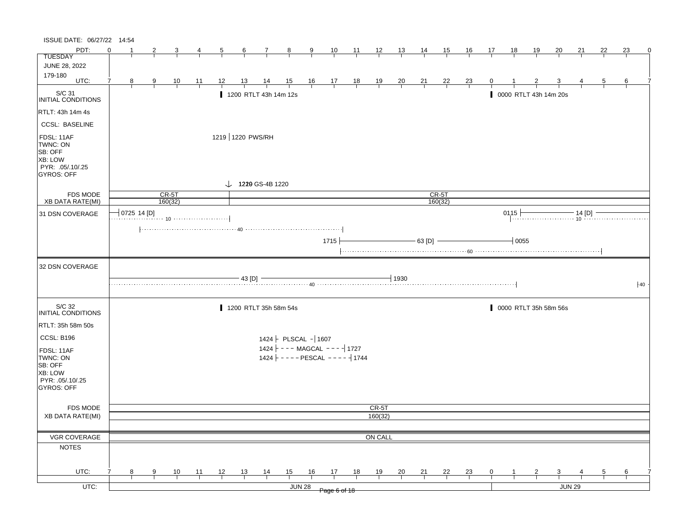| ISSUE DATE: 06/27/22 14:54                                                     |                     |                |                |                |                  |                |                              |                                                                                      |               |              |    |                         |                |                 |                |                |              |                       |    |                       |                                                                     |    |    |    |
|--------------------------------------------------------------------------------|---------------------|----------------|----------------|----------------|------------------|----------------|------------------------------|--------------------------------------------------------------------------------------|---------------|--------------|----|-------------------------|----------------|-----------------|----------------|----------------|--------------|-----------------------|----|-----------------------|---------------------------------------------------------------------|----|----|----|
| PDT:                                                                           | $\Omega$            | $\overline{2}$ | 3              | $\overline{4}$ | $\overline{5}$   | $\frac{6}{ }$  | $\overline{7}$               | $\frac{8}{1}$                                                                        | 9             |              |    | $\frac{10}{1}$ 11 12 13 |                | $\frac{14}{14}$ | <u>_15 _</u>   | $\frac{16}{1}$ | 17           | $\frac{18}{ }$        | 19 | 20                    | <u>21</u>                                                           | 22 | 23 | 0  |
| <b>TUESDAY</b>                                                                 |                     |                |                |                |                  |                |                              |                                                                                      |               |              |    |                         |                |                 |                |                |              |                       |    |                       |                                                                     |    |    |    |
| JUNE 28, 2022                                                                  |                     |                |                |                |                  |                |                              |                                                                                      |               |              |    |                         |                |                 |                |                |              |                       |    |                       |                                                                     |    |    |    |
| 179-180<br>UTC:                                                                | $\overline{7}$<br>8 | $\frac{9}{1}$  | $\frac{10}{1}$ | $\frac{11}{1}$ | $\frac{12}{1}$   | $\frac{13}{1}$ | $\frac{14}{1}$               | $\begin{array}{cccccccc} 15 & 16 & 17 & 18 & 19 \\ \hline & & & & & & & \end{array}$ |               |              |    |                         | $\frac{20}{1}$ | $\frac{21}{1}$  | $\frac{22}{1}$ | $\frac{23}{1}$ | $\mathbf{0}$ |                       |    |                       |                                                                     | 5  | 6  |    |
| $\vert$ S/C 31<br>INITIAL CONDITIONS                                           |                     |                |                |                |                  |                |                              | 1200 RTLT 43h 14m 12s                                                                |               |              |    |                         |                |                 |                |                |              | 0000 RTLT 43h 14m 20s |    |                       |                                                                     |    |    |    |
| RTLT: 43h 14m 4s                                                               |                     |                |                |                |                  |                |                              |                                                                                      |               |              |    |                         |                |                 |                |                |              |                       |    |                       |                                                                     |    |    |    |
| <b>CCSL: BASELINE</b>                                                          |                     |                |                |                |                  |                |                              |                                                                                      |               |              |    |                         |                |                 |                |                |              |                       |    |                       |                                                                     |    |    |    |
| FDSL: 11AF<br>TWNC: ON<br>SB: OFF<br>XB: LOW<br>PYR: .05/.10/.25<br>GYROS: OFF |                     |                |                |                | 1219 1220 PWS/RH |                |                              |                                                                                      |               |              |    |                         |                |                 |                |                |              |                       |    |                       |                                                                     |    |    |    |
|                                                                                |                     |                |                |                |                  |                | $\downarrow$ 1229 GS-4B 1220 |                                                                                      |               |              |    |                         |                |                 |                |                |              |                       |    |                       |                                                                     |    |    |    |
| <b>FDS MODE</b>                                                                |                     |                | $CR-5T$        |                |                  |                |                              |                                                                                      |               |              |    |                         |                |                 | CR-5T          |                |              |                       |    |                       |                                                                     |    |    |    |
| XB DATA RATE(MI)                                                               |                     |                | 160(32)        |                |                  |                |                              |                                                                                      |               |              |    |                         |                |                 | 160(32)        |                |              |                       |    |                       |                                                                     |    |    |    |
| 31 DSN COVERAGE                                                                |                     | 0725 14 [D]    |                |                |                  |                |                              |                                                                                      |               |              |    |                         |                |                 |                |                |              | $0115 +$              |    |                       | 15 $\longleftarrow$ 14 [D] $\longleftarrow$ 14 [D] $\longleftarrow$ |    |    |    |
|                                                                                |                     |                |                |                |                  |                |                              |                                                                                      |               |              |    |                         |                |                 |                |                |              |                       |    |                       |                                                                     |    |    |    |
|                                                                                |                     |                |                |                |                  |                |                              |                                                                                      |               | $1715 -$     |    |                         |                | $-63$ [D] $-$   |                |                |              | $-10055$              |    |                       |                                                                     |    |    |    |
|                                                                                |                     |                |                |                |                  |                |                              |                                                                                      |               |              |    |                         |                |                 |                |                |              |                       |    |                       |                                                                     |    |    |    |
| 32 DSN COVERAGE                                                                |                     |                |                |                |                  |                |                              |                                                                                      |               |              |    |                         |                |                 |                |                |              |                       |    |                       |                                                                     |    |    |    |
|                                                                                |                     |                |                |                |                  | $-43$ [D] $-$  |                              |                                                                                      |               |              |    |                         | $-1930$        |                 |                |                |              |                       |    |                       |                                                                     |    |    | 40 |
| S/C 32<br>INITIAL CONDITIONS                                                   |                     |                |                |                |                  |                |                              | 1200 RTLT 35h 58m 54s                                                                |               |              |    |                         |                |                 |                |                |              |                       |    | 0000 RTLT 35h 58m 56s |                                                                     |    |    |    |
| RTLT: 35h 58m 50s                                                              |                     |                |                |                |                  |                |                              |                                                                                      |               |              |    |                         |                |                 |                |                |              |                       |    |                       |                                                                     |    |    |    |
| CCSL: B196                                                                     |                     |                |                |                |                  |                |                              | $1424$ PLSCAL - 1607                                                                 |               |              |    |                         |                |                 |                |                |              |                       |    |                       |                                                                     |    |    |    |
|                                                                                |                     |                |                |                |                  |                |                              | 1424 $\vert$ - - - MAGCAL - - - - $\vert$ 1727                                       |               |              |    |                         |                |                 |                |                |              |                       |    |                       |                                                                     |    |    |    |
| FDSL: 11AF<br>TWNC: ON<br>SB: OFF<br>XB: LOW<br>PYR: .05/.10/.25               |                     |                |                |                |                  |                |                              | 1424 $\vert$ - - - - PESCAL - - - - $\vert$ 1744                                     |               |              |    |                         |                |                 |                |                |              |                       |    |                       |                                                                     |    |    |    |
| <b>GYROS: OFF</b>                                                              |                     |                |                |                |                  |                |                              |                                                                                      |               |              |    |                         |                |                 |                |                |              |                       |    |                       |                                                                     |    |    |    |
| <b>FDS MODE</b>                                                                |                     |                |                |                |                  |                |                              |                                                                                      |               |              |    | CR-5T                   |                |                 |                |                |              |                       |    |                       |                                                                     |    |    |    |
| <b>XB DATA RATE(MI)</b>                                                        |                     |                |                |                |                  |                |                              |                                                                                      |               |              |    | 160(32)                 |                |                 |                |                |              |                       |    |                       |                                                                     |    |    |    |
|                                                                                |                     |                |                |                |                  |                |                              |                                                                                      |               |              |    |                         |                |                 |                |                |              |                       |    |                       |                                                                     |    |    |    |
| VGR COVERAGE                                                                   |                     |                |                |                |                  |                |                              |                                                                                      |               |              |    | ON CALL                 |                |                 |                |                |              |                       |    |                       |                                                                     |    |    |    |
| <b>NOTES</b>                                                                   |                     |                |                |                |                  |                |                              |                                                                                      |               |              |    |                         |                |                 |                |                |              |                       |    |                       |                                                                     |    |    |    |
|                                                                                |                     |                |                |                |                  |                |                              |                                                                                      |               |              |    |                         |                |                 |                |                |              |                       |    |                       |                                                                     |    |    |    |
| UTC:                                                                           | 7<br>8              | 9              | 10             | 11             | 12               | 13             | $\frac{14}{1}$               | 15                                                                                   | 16            | 17           | 18 | 19                      | 20             | 21              | <u>22</u>      | $\frac{23}{2}$ | $\mathbf{0}$ |                       |    | 3                     |                                                                     | 5  | 6  |    |
|                                                                                |                     |                |                |                |                  |                |                              |                                                                                      |               |              |    |                         |                |                 |                |                |              |                       |    |                       |                                                                     |    |    |    |
| UTC:                                                                           |                     |                |                |                |                  |                |                              |                                                                                      | <b>JUN 28</b> | Page 6 of 18 |    |                         |                |                 |                |                |              |                       |    |                       | <b>JUN 29</b>                                                       |    |    |    |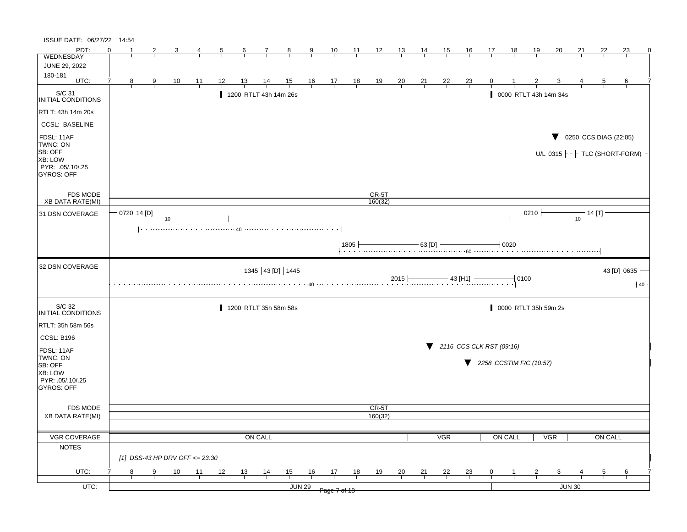| ISSUE DATE: 06/27/22 14:54     |                                      |   |                                |    |    |    |                       |                |    |                                                              |    |                |                |                |                |                                               |                             |          |                      |                       |                                                                                                           |         |                                               |    |
|--------------------------------|--------------------------------------|---|--------------------------------|----|----|----|-----------------------|----------------|----|--------------------------------------------------------------|----|----------------|----------------|----------------|----------------|-----------------------------------------------|-----------------------------|----------|----------------------|-----------------------|-----------------------------------------------------------------------------------------------------------|---------|-----------------------------------------------|----|
| PDT:                           | $\Omega$                             | 2 |                                |    | 5  | 6  |                       | 8              | 9  | 10                                                           | 11 | 12             | <u>13</u>      | <u>14</u>      | 15             | <u>16</u>                                     | 17                          | 18       | <u>19</u>            | <u>20</u>             | 21                                                                                                        | 22      | 23                                            | 0  |
| <b>WEDNESDAY</b>               |                                      |   |                                |    |    |    |                       |                |    |                                                              |    |                |                |                |                |                                               |                             |          |                      |                       |                                                                                                           |         |                                               |    |
| JUNE 29, 2022                  |                                      |   |                                |    |    |    |                       |                |    |                                                              |    |                |                |                |                |                                               |                             |          |                      |                       |                                                                                                           |         |                                               |    |
| 180-181<br>UTC:                | 7<br>8                               | 9 | $\frac{10}{1}$                 | 11 | 12 | 13 | <u>14</u>             | $\frac{15}{1}$ |    | $\begin{array}{cccccc}\n16 & 17 & 18 \\ \hline\n\end{array}$ |    | $\frac{19}{1}$ | $\frac{20}{1}$ | $\frac{21}{1}$ | $\frac{22}{1}$ | $\frac{23}{1}$                                | 0                           |          |                      |                       |                                                                                                           | 5       | 6                                             |    |
| S/C 31<br>INITIAL CONDITIONS   |                                      |   |                                |    |    |    | 1200 RTLT 43h 14m 26s |                |    |                                                              |    |                |                |                |                |                                               |                             |          |                      | 0000 RTLT 43h 14m 34s |                                                                                                           |         |                                               |    |
| RTLT: 43h 14m 20s              |                                      |   |                                |    |    |    |                       |                |    |                                                              |    |                |                |                |                |                                               |                             |          |                      |                       |                                                                                                           |         |                                               |    |
| <b>CCSL: BASELINE</b>          |                                      |   |                                |    |    |    |                       |                |    |                                                              |    |                |                |                |                |                                               |                             |          |                      |                       |                                                                                                           |         |                                               |    |
| FDSL: 11AF                     |                                      |   |                                |    |    |    |                       |                |    |                                                              |    |                |                |                |                |                                               |                             |          |                      | v.                    | 0250 CCS DIAG (22:05)                                                                                     |         |                                               |    |
| TWNC: ON<br>SB: OFF            |                                      |   |                                |    |    |    |                       |                |    |                                                              |    |                |                |                |                |                                               |                             |          |                      |                       |                                                                                                           |         | U/L 0315 $\vdash$ - $\vdash$ TLC (SHORT-FORM) |    |
| XB: LOW                        |                                      |   |                                |    |    |    |                       |                |    |                                                              |    |                |                |                |                |                                               |                             |          |                      |                       |                                                                                                           |         |                                               |    |
| PYR: .05/.10/.25               |                                      |   |                                |    |    |    |                       |                |    |                                                              |    |                |                |                |                |                                               |                             |          |                      |                       |                                                                                                           |         |                                               |    |
| <b>GYROS: OFF</b>              |                                      |   |                                |    |    |    |                       |                |    |                                                              |    |                |                |                |                |                                               |                             |          |                      |                       |                                                                                                           |         |                                               |    |
| <b>FDS MODE</b>                |                                      |   |                                |    |    |    |                       |                |    |                                                              |    | CR-5T          |                |                |                |                                               |                             |          |                      |                       |                                                                                                           |         |                                               |    |
| <b>XB DATA RATE(MI)</b>        |                                      |   |                                |    |    |    |                       |                |    |                                                              |    | 160(32)        |                |                |                |                                               |                             |          |                      |                       |                                                                                                           |         |                                               |    |
| 31 DSN COVERAGE                | $\overline{\phantom{x}}$ 0720 14 [D] |   |                                |    |    |    |                       |                |    |                                                              |    |                |                |                |                |                                               |                             |          |                      |                       |                                                                                                           |         | 0210 $\frac{1}{10}$ 14 [T]                    |    |
|                                |                                      |   |                                |    |    |    |                       |                |    |                                                              |    |                |                |                |                |                                               |                             |          |                      |                       |                                                                                                           |         |                                               |    |
|                                |                                      |   |                                |    |    |    |                       |                |    |                                                              |    |                |                |                |                |                                               |                             |          |                      |                       |                                                                                                           |         |                                               |    |
|                                |                                      |   |                                |    |    |    |                       |                |    |                                                              |    |                |                |                |                |                                               |                             |          |                      |                       | $\begin{array}{c c c c c} \hline 1805 & \text{---} & 63 [D] & \text{---} & 0020 & \text{---} \end{array}$ |         |                                               |    |
| 32 DSN COVERAGE                |                                      |   |                                |    |    |    | 1345 43 [D] 1445      |                |    |                                                              |    |                |                |                |                |                                               |                             |          |                      |                       |                                                                                                           |         | 43 [D] 0635                                   |    |
|                                |                                      |   |                                |    |    |    |                       |                |    |                                                              |    |                |                |                |                |                                               |                             | $-10100$ |                      |                       |                                                                                                           |         |                                               |    |
|                                |                                      |   |                                |    |    |    |                       |                |    |                                                              |    |                |                |                |                |                                               |                             |          |                      |                       |                                                                                                           |         |                                               | 40 |
| S/C 32                         |                                      |   |                                |    |    |    | 1200 RTLT 35h 58m 58s |                |    |                                                              |    |                |                |                |                |                                               |                             |          | 0000 RTLT 35h 59m 2s |                       |                                                                                                           |         |                                               |    |
| INITIAL CONDITIONS             |                                      |   |                                |    |    |    |                       |                |    |                                                              |    |                |                |                |                |                                               |                             |          |                      |                       |                                                                                                           |         |                                               |    |
| RTLT: 35h 58m 56s              |                                      |   |                                |    |    |    |                       |                |    |                                                              |    |                |                |                |                |                                               |                             |          |                      |                       |                                                                                                           |         |                                               |    |
| <b>CCSL: B196</b>              |                                      |   |                                |    |    |    |                       |                |    |                                                              |    |                |                |                |                | $\blacktriangledown$ 2116 CCS CLK RST (09:16) |                             |          |                      |                       |                                                                                                           |         |                                               |    |
| FDSL: 11AF<br>TWNC: ON         |                                      |   |                                |    |    |    |                       |                |    |                                                              |    |                |                |                |                |                                               |                             |          |                      |                       |                                                                                                           |         |                                               |    |
| SB: OFF                        |                                      |   |                                |    |    |    |                       |                |    |                                                              |    |                |                |                |                |                                               | ₹ 2258 CCSTIM F/C $(10.57)$ |          |                      |                       |                                                                                                           |         |                                               |    |
| XB: LOW                        |                                      |   |                                |    |    |    |                       |                |    |                                                              |    |                |                |                |                |                                               |                             |          |                      |                       |                                                                                                           |         |                                               |    |
| PYR: .05/.10/.25<br>GYROS: OFF |                                      |   |                                |    |    |    |                       |                |    |                                                              |    |                |                |                |                |                                               |                             |          |                      |                       |                                                                                                           |         |                                               |    |
|                                |                                      |   |                                |    |    |    |                       |                |    |                                                              |    |                |                |                |                |                                               |                             |          |                      |                       |                                                                                                           |         |                                               |    |
| <b>FDS MODE</b>                |                                      |   |                                |    |    |    |                       |                |    |                                                              |    | CR-5T          |                |                |                |                                               |                             |          |                      |                       |                                                                                                           |         |                                               |    |
| <b>XB DATA RATE(MI)</b>        |                                      |   |                                |    |    |    |                       |                |    |                                                              |    | 160(32)        |                |                |                |                                               |                             |          |                      |                       |                                                                                                           |         |                                               |    |
| VGR COVERAGE                   |                                      |   |                                |    |    |    | ON CALL               |                |    |                                                              |    |                |                |                | <b>VGR</b>     |                                               |                             | ON CALL  |                      | <b>VGR</b>            |                                                                                                           | ON CALL |                                               |    |
| <b>NOTES</b>                   |                                      |   |                                |    |    |    |                       |                |    |                                                              |    |                |                |                |                |                                               |                             |          |                      |                       |                                                                                                           |         |                                               |    |
|                                |                                      |   | [1] DSS-43 HP DRV OFF <= 23:30 |    |    |    |                       |                |    |                                                              |    |                |                |                |                |                                               |                             |          |                      |                       |                                                                                                           |         |                                               |    |
| UTC:                           | 8                                    | 9 | 10                             | 11 | 12 | 13 | 14                    | 15             | 16 | 17                                                           | 18 | 19             | 20             | 21             | 22             | <u>23</u>                                     | 0                           |          |                      | 3                     |                                                                                                           | 5       | 6                                             |    |
| UTC:                           |                                      |   |                                |    |    |    |                       | <b>JUN 29</b>  |    | Page 7 of 18                                                 |    |                |                |                |                |                                               |                             |          |                      |                       | <b>JUN 30</b>                                                                                             |         |                                               |    |
|                                |                                      |   |                                |    |    |    |                       |                |    |                                                              |    |                |                |                |                |                                               |                             |          |                      |                       |                                                                                                           |         |                                               |    |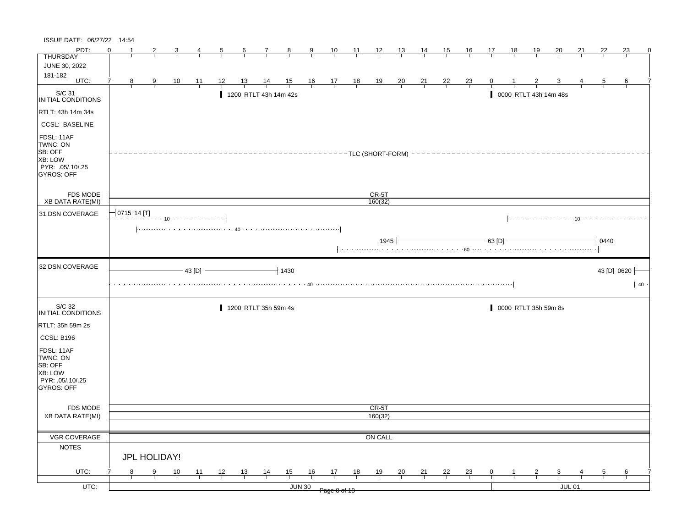| ISSUE DATE: 06/27/22 14:54                                                            |                           |    |               |           |               |    |                |                       |                |                |                                                      |                |                      |                |                |                |                |              |              |                      |                       |               |                 |             |    |
|---------------------------------------------------------------------------------------|---------------------------|----|---------------|-----------|---------------|----|----------------|-----------------------|----------------|----------------|------------------------------------------------------|----------------|----------------------|----------------|----------------|----------------|----------------|--------------|--------------|----------------------|-----------------------|---------------|-----------------|-------------|----|
| PDT:                                                                                  | $\Omega$                  | -1 |               | 3         |               | 5  | 6              | 7                     | $\mathbf{8}$   | 9              | 10                                                   | 11             | $\frac{12}{ }$       | 13             | 14             | <u>15</u>      | <u>16</u>      | 17           | 18           | 19                   | <u>20</u>             | 21            | 22              | 23          |    |
| <b>THURSDAY</b>                                                                       |                           |    |               |           |               |    |                |                       |                |                |                                                      |                |                      |                |                |                |                |              |              |                      |                       |               |                 |             |    |
| JUNE 30, 2022                                                                         |                           |    |               |           |               |    |                |                       |                |                |                                                      |                |                      |                |                |                |                |              |              |                      |                       |               |                 |             |    |
| 181-182<br>UTC:                                                                       |                           |    |               |           |               |    |                |                       |                |                |                                                      |                |                      |                |                |                |                |              |              |                      |                       |               |                 |             |    |
|                                                                                       |                           | 8  | 9             | <u>10</u> | 11            | 12 | 13             | $\frac{14}{1}$        | $\frac{15}{1}$ |                | $\begin{array}{c c}\n16 & 17 \\ \hline\n\end{array}$ | $\frac{18}{1}$ | $\frac{19}{1}$       | $\frac{20}{1}$ | $\frac{21}{1}$ | $\frac{22}{ }$ | $\frac{23}{1}$ | $\mathbf{0}$ |              |                      |                       |               | 5               | 6           |    |
| S/C 31<br>INITIAL CONDITIONS                                                          |                           |    |               |           |               |    |                | 1200 RTLT 43h 14m 42s |                |                |                                                      |                |                      |                |                |                |                |              |              |                      | 0000 RTLT 43h 14m 48s |               |                 |             |    |
| RTLT: 43h 14m 34s                                                                     |                           |    |               |           |               |    |                |                       |                |                |                                                      |                |                      |                |                |                |                |              |              |                      |                       |               |                 |             |    |
| <b>CCSL: BASELINE</b>                                                                 |                           |    |               |           |               |    |                |                       |                |                |                                                      |                |                      |                |                |                |                |              |              |                      |                       |               |                 |             |    |
| FDSL: 11AF<br>TWNC: ON<br>SB: OFF<br>XB: LOW<br>PYR: .05/.10/.25<br><b>GYROS: OFF</b> |                           |    |               |           |               |    |                |                       |                |                |                                                      |                | - TLC (SHORT-FORM) - |                |                |                |                |              |              |                      |                       |               |                 |             |    |
| <b>FDS MODE</b><br>XB DATA RATE(MI)                                                   |                           |    |               |           |               |    |                |                       |                |                |                                                      |                | $CR-5T$<br>160(32)   |                |                |                |                |              |              |                      |                       |               |                 |             |    |
|                                                                                       | $\frac{1}{2}$ 0715 14 [T] |    |               |           |               |    |                |                       |                |                |                                                      |                |                      |                |                |                |                |              |              |                      |                       |               |                 |             |    |
| 31 DSN COVERAGE                                                                       |                           |    |               |           |               |    |                |                       |                |                |                                                      |                |                      |                |                |                |                |              |              |                      |                       |               |                 |             |    |
|                                                                                       |                           |    |               |           |               |    |                |                       |                |                |                                                      |                |                      |                |                |                |                |              |              |                      |                       |               |                 |             |    |
|                                                                                       |                           |    |               |           |               |    |                |                       |                |                |                                                      |                | 1945                 |                |                |                |                | - 63 [D]     |              |                      |                       |               | 0440            |             |    |
| 32 DSN COVERAGE                                                                       |                           |    |               |           |               |    |                |                       |                |                |                                                      |                |                      |                |                |                |                |              |              |                      |                       |               |                 |             |    |
|                                                                                       |                           |    |               |           | $-43$ [D] $-$ |    |                |                       | $-1430$        |                |                                                      |                |                      |                |                |                |                |              |              |                      |                       |               |                 | 43 [D] 0620 |    |
|                                                                                       |                           |    |               |           |               |    |                |                       |                |                |                                                      |                |                      |                |                |                |                |              |              |                      |                       |               |                 |             | 40 |
| S/C 32<br>INITIAL CONDITIONS                                                          |                           |    |               |           |               |    |                | 1200 RTLT 35h 59m 4s  |                |                |                                                      |                |                      |                |                |                |                |              |              | 0000 RTLT 35h 59m 8s |                       |               |                 |             |    |
| RTLT: 35h 59m 2s                                                                      |                           |    |               |           |               |    |                |                       |                |                |                                                      |                |                      |                |                |                |                |              |              |                      |                       |               |                 |             |    |
| CCSL: B196                                                                            |                           |    |               |           |               |    |                |                       |                |                |                                                      |                |                      |                |                |                |                |              |              |                      |                       |               |                 |             |    |
| FDSL: 11AF<br>TWNC: ON<br>SB: OFF<br>XB: LOW<br>PYR: .05/.10/.25<br><b>GYROS: OFF</b> |                           |    |               |           |               |    |                |                       |                |                |                                                      |                |                      |                |                |                |                |              |              |                      |                       |               |                 |             |    |
| FDS MODE                                                                              |                           |    |               |           |               |    |                |                       |                |                |                                                      |                | CR-5T                |                |                |                |                |              |              |                      |                       |               |                 |             |    |
| <b>XB DATA RATE(MI)</b>                                                               |                           |    |               |           |               |    |                |                       |                |                |                                                      |                | 160(32)              |                |                |                |                |              |              |                      |                       |               |                 |             |    |
|                                                                                       |                           |    |               |           |               |    |                |                       |                |                |                                                      |                |                      |                |                |                |                |              |              |                      |                       |               |                 |             |    |
| VGR COVERAGE                                                                          |                           |    |               |           |               |    |                |                       |                |                |                                                      |                | ON CALL              |                |                |                |                |              |              |                      |                       |               |                 |             |    |
| <b>NOTES</b>                                                                          |                           |    |               |           |               |    |                |                       |                |                |                                                      |                |                      |                |                |                |                |              |              |                      |                       |               |                 |             |    |
|                                                                                       |                           |    | JPL HOLIDAY!  |           |               |    |                |                       |                |                |                                                      |                |                      |                |                |                |                |              |              |                      |                       |               |                 |             |    |
| UTC:                                                                                  |                           | 8  | $\frac{9}{1}$ | 10        | 11            | 12 | $\frac{13}{ }$ | $\frac{14}{1}$        | 15             | $\frac{16}{1}$ | $\frac{17}{2}$                                       | 18             | 19                   | $\frac{20}{1}$ | 21             | 22             | $\frac{23}{1}$ | $\mathbf{0}$ | $\mathbf{1}$ | $\overline{2}$       | $\mathbf{3}$          |               | $5\overline{)}$ | 6           |    |
| UTC:                                                                                  |                           |    |               |           |               |    |                |                       |                | <b>JUN 30</b>  | Page 8 of 18                                         |                |                      |                |                |                |                |              |              |                      |                       | <b>JUL 01</b> |                 |             |    |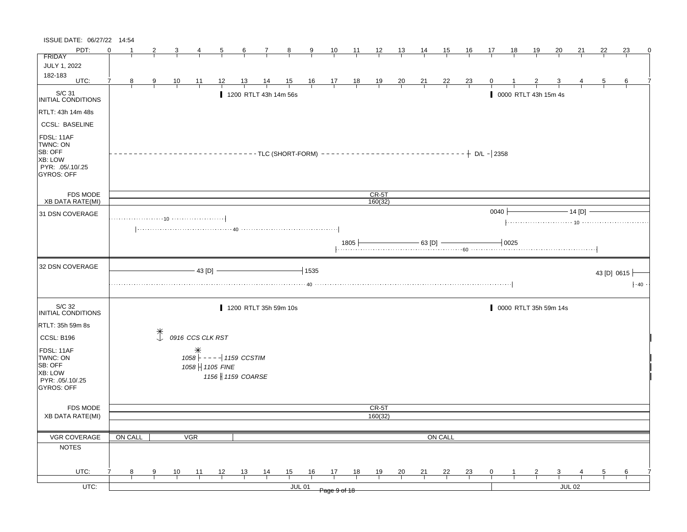| ISSUE DATE: 06/27/22 14:54                                                            |          |                |               |                |                            |                |                  |                       |               |                |                |                |                                                                                              |                |                |                |                              |              |           |                      |                       |           |                |                     |   |
|---------------------------------------------------------------------------------------|----------|----------------|---------------|----------------|----------------------------|----------------|------------------|-----------------------|---------------|----------------|----------------|----------------|----------------------------------------------------------------------------------------------|----------------|----------------|----------------|------------------------------|--------------|-----------|----------------------|-----------------------|-----------|----------------|---------------------|---|
| PDT:                                                                                  | $\Omega$ |                |               | 3              | 4                          | $\overline{5}$ | $\frac{6}{ }$    | $\mathcal{I}$         | $\frac{8}{4}$ | $\overline{9}$ | $\frac{10}{1}$ | $\frac{11}{1}$ | $\frac{12}{ }$                                                                               | $\frac{13}{2}$ | $\frac{14}{1}$ | 15             | <u>16</u>                    | 17           | <u>18</u> | <u> 19</u>           | 20                    | 21        | 22             | 23                  | 0 |
| FRIDAY                                                                                |          |                |               |                |                            |                |                  |                       |               |                |                |                |                                                                                              |                |                |                |                              |              |           |                      |                       |           |                |                     |   |
| JULY 1, 2022                                                                          |          |                |               |                |                            |                |                  |                       |               |                |                |                |                                                                                              |                |                |                |                              |              |           |                      |                       |           |                |                     |   |
| 182-183<br>UTC:                                                                       |          |                |               |                |                            |                |                  |                       |               |                |                |                |                                                                                              |                |                |                |                              |              |           |                      |                       |           |                |                     |   |
|                                                                                       | 7        | 8 <sup>2</sup> | $\frac{9}{1}$ | $\frac{10}{1}$ | <u> 11</u>                 | 12             | $\frac{13}{1}$   | $\frac{14}{ }$        |               |                |                |                | $\begin{array}{ccccccccc}\n15 & 16 & 17 & 18 & 19 \\ \hline\n-1 & -1 & -1 & -1\n\end{array}$ | $\frac{20}{1}$ | $\frac{21}{1}$ | $\frac{22}{1}$ | $\frac{23}{1}$               | $\mathbf{0}$ |           |                      |                       |           | $\overline{5}$ | 6                   |   |
| S/C 31<br>INITIAL CONDITIONS                                                          |          |                |               |                |                            |                |                  | 1200 RTLT 43h 14m 56s |               |                |                |                |                                                                                              |                |                |                |                              |              |           | 0000 RTLT 43h 15m 4s |                       |           |                |                     |   |
| RTLT: 43h 14m 48s                                                                     |          |                |               |                |                            |                |                  |                       |               |                |                |                |                                                                                              |                |                |                |                              |              |           |                      |                       |           |                |                     |   |
| <b>CCSL: BASELINE</b>                                                                 |          |                |               |                |                            |                |                  |                       |               |                |                |                |                                                                                              |                |                |                |                              |              |           |                      |                       |           |                |                     |   |
| FDSL: 11AF<br>TWNC: ON<br>SB: OFF<br>XB: LOW<br>PYR: .05/.10/.25<br><b>GYROS: OFF</b> |          |                |               |                |                            |                |                  |                       |               |                |                |                |                                                                                              |                |                |                |                              |              |           |                      |                       |           |                |                     |   |
| FDS MODE                                                                              |          |                |               |                |                            |                |                  |                       |               |                |                |                | $CR-5T$                                                                                      |                |                |                |                              |              |           |                      |                       |           |                |                     |   |
| <b>XB DATA RATE(MI)</b>                                                               |          |                |               |                |                            |                |                  |                       |               |                |                |                | 160(32)                                                                                      |                |                |                |                              |              |           |                      |                       |           |                |                     |   |
| 31 DSN COVERAGE                                                                       |          |                |               |                |                            |                |                  |                       |               |                |                |                |                                                                                              |                |                |                |                              | 0040         |           |                      |                       | $-14$ [D] |                |                     |   |
|                                                                                       |          |                |               |                |                            |                |                  |                       |               |                |                |                |                                                                                              |                |                |                |                              |              |           |                      |                       |           |                |                     |   |
|                                                                                       |          |                |               |                |                            |                |                  |                       |               |                |                |                |                                                                                              |                |                |                | $+$ 1805 $+$ 63 [D] $-$ 0025 |              |           |                      |                       |           |                |                     |   |
|                                                                                       |          |                |               |                |                            |                |                  |                       |               |                |                |                |                                                                                              |                |                |                |                              |              |           |                      |                       |           |                |                     |   |
| 32 DSN COVERAGE                                                                       |          |                |               |                | $-43$ [D] $-$              |                |                  |                       |               | $-1$ 1535      |                |                |                                                                                              |                |                |                |                              |              |           |                      |                       |           |                | 43 [D] 0615 $\vert$ |   |
|                                                                                       |          |                |               |                |                            |                |                  |                       |               |                |                |                |                                                                                              |                |                |                |                              |              |           |                      |                       |           |                |                     |   |
|                                                                                       |          |                |               |                |                            |                |                  |                       |               |                |                |                |                                                                                              |                |                |                |                              |              |           |                      |                       |           |                | $\cdot$ 40          |   |
|                                                                                       |          |                |               |                |                            |                |                  |                       |               |                |                |                |                                                                                              |                |                |                |                              |              |           |                      |                       |           |                |                     |   |
| S/C 32<br>INITIAL CONDITIONS                                                          |          |                |               |                |                            |                |                  | 1200 RTLT 35h 59m 10s |               |                |                |                |                                                                                              |                |                |                |                              |              |           |                      | 0000 RTLT 35h 59m 14s |           |                |                     |   |
| RTLT: 35h 59m 8s                                                                      |          |                |               |                |                            |                |                  |                       |               |                |                |                |                                                                                              |                |                |                |                              |              |           |                      |                       |           |                |                     |   |
| CCSL: B196                                                                            |          |                | $\mathbb{R}$  |                | 0916 CCS CLK RST           |                |                  |                       |               |                |                |                |                                                                                              |                |                |                |                              |              |           |                      |                       |           |                |                     |   |
|                                                                                       |          |                |               |                |                            |                |                  |                       |               |                |                |                |                                                                                              |                |                |                |                              |              |           |                      |                       |           |                |                     |   |
| FDSL: 11AF                                                                            |          |                |               |                |                            |                |                  |                       |               |                |                |                |                                                                                              |                |                |                |                              |              |           |                      |                       |           |                |                     |   |
| TWNC: ON<br>SB: OFF                                                                   |          |                |               |                | $1058$ - - - - 1159 CCSTIM |                |                  |                       |               |                |                |                |                                                                                              |                |                |                |                              |              |           |                      |                       |           |                |                     |   |
| XB: LOW                                                                               |          |                |               |                | 1058   1105 FINE           |                |                  |                       |               |                |                |                |                                                                                              |                |                |                |                              |              |           |                      |                       |           |                |                     |   |
| PYR: .05/.10/.25                                                                      |          |                |               |                |                            |                | 1156 1159 COARSE |                       |               |                |                |                |                                                                                              |                |                |                |                              |              |           |                      |                       |           |                |                     |   |
| GYROS: OFF                                                                            |          |                |               |                |                            |                |                  |                       |               |                |                |                |                                                                                              |                |                |                |                              |              |           |                      |                       |           |                |                     |   |
|                                                                                       |          |                |               |                |                            |                |                  |                       |               |                |                |                |                                                                                              |                |                |                |                              |              |           |                      |                       |           |                |                     |   |
| FDS MODE                                                                              |          |                |               |                |                            |                |                  |                       |               |                |                |                | CR-5T                                                                                        |                |                |                |                              |              |           |                      |                       |           |                |                     |   |
| <b>XB DATA RATE(MI)</b>                                                               |          |                |               |                |                            |                |                  |                       |               |                |                |                | 160(32)                                                                                      |                |                |                |                              |              |           |                      |                       |           |                |                     |   |
|                                                                                       |          |                |               |                |                            |                |                  |                       |               |                |                |                |                                                                                              |                |                |                |                              |              |           |                      |                       |           |                |                     |   |
| VGR COVERAGE                                                                          |          | ON CALL        |               |                | <b>VGR</b>                 |                |                  |                       |               |                |                |                |                                                                                              |                |                | ON CALL        |                              |              |           |                      |                       |           |                |                     |   |
|                                                                                       |          |                |               |                |                            |                |                  |                       |               |                |                |                |                                                                                              |                |                |                |                              |              |           |                      |                       |           |                |                     |   |
|                                                                                       |          |                |               |                |                            |                |                  |                       |               |                |                |                |                                                                                              |                |                |                |                              |              |           |                      |                       |           |                |                     |   |
| <b>NOTES</b>                                                                          |          |                |               |                |                            |                |                  |                       |               |                |                |                |                                                                                              |                |                |                |                              |              |           |                      |                       |           |                |                     |   |
|                                                                                       |          |                |               |                |                            |                |                  |                       |               |                |                |                |                                                                                              |                |                |                |                              |              |           |                      |                       |           |                |                     |   |
| UTC:                                                                                  |          | 8              | 9             | 10             | 11                         | 12             | 13               |                       | 15            | 16             | 17             | 18             | <u> 19</u>                                                                                   | 20             | 21             | 22             | <u>23</u>                    | 0            |           |                      | 3                     |           | 5              | 6                   |   |
| UTC:                                                                                  |          |                |               |                |                            |                |                  | $\frac{14}{1}$        |               | <b>JUL 01</b>  |                |                |                                                                                              |                |                |                |                              |              |           |                      |                       | $JUL$ 02  |                |                     |   |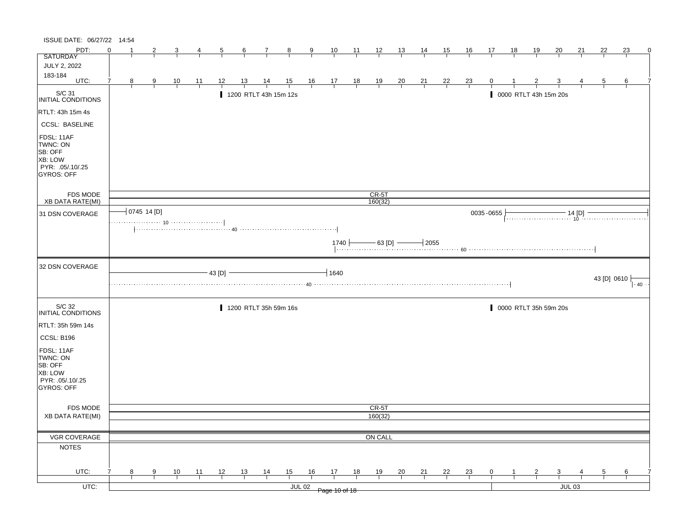| ISSUE DATE: 06/27/22 14:54                                                            |          |                |               |                |                |                |                       |                |                |               |                                                                |                |                |                |                |                |                |                |    |                |                                                                                                         |          |             |                   |   |
|---------------------------------------------------------------------------------------|----------|----------------|---------------|----------------|----------------|----------------|-----------------------|----------------|----------------|---------------|----------------------------------------------------------------|----------------|----------------|----------------|----------------|----------------|----------------|----------------|----|----------------|---------------------------------------------------------------------------------------------------------|----------|-------------|-------------------|---|
| PDT:                                                                                  | $\Omega$ |                | 2             |                | 4              | $\overline{5}$ | 6                     | $\frac{7}{2}$  | $\frac{8}{1}$  | $\frac{9}{5}$ | $\frac{10}{1}$                                                 | $\frac{11}{1}$ | $\frac{12}{ }$ | $\frac{13}{ }$ | $\frac{14}{1}$ | 15             | $\frac{16}{1}$ | <u>17</u>      | 18 | <u>19</u>      | 20                                                                                                      | 21       | 22          | 23                | 0 |
| <b>SATURDAY</b>                                                                       |          |                |               |                |                |                |                       |                |                |               |                                                                |                |                |                |                |                |                |                |    |                |                                                                                                         |          |             |                   |   |
| <b>JULY 2, 2022</b>                                                                   |          |                |               |                |                |                |                       |                |                |               |                                                                |                |                |                |                |                |                |                |    |                |                                                                                                         |          |             |                   |   |
| 183-184<br>UTC:                                                                       | 7        | 8 <sup>2</sup> | $\frac{9}{1}$ | $\frac{10}{1}$ | $\frac{11}{1}$ | <u>_12</u>     | $\frac{13}{2}$        | $\frac{14}{1}$ | $\frac{15}{1}$ |               | $\begin{array}{c cc} 16 & 17 & 18 \\ \hline & & & \end{array}$ |                | $\frac{19}{1}$ | $\frac{20}{1}$ | $\frac{21}{1}$ | $\frac{22}{ }$ | $\frac{23}{1}$ |                |    |                |                                                                                                         |          |             | 6                 |   |
| S/C 31<br>INITIAL CONDITIONS                                                          |          |                |               |                |                |                | 1200 RTLT 43h 15m 12s |                |                |               |                                                                |                |                |                |                |                |                |                |    |                | 0000 RTLT 43h 15m 20s                                                                                   |          |             |                   |   |
| <b>RTLT: 43h 15m 4s</b>                                                               |          |                |               |                |                |                |                       |                |                |               |                                                                |                |                |                |                |                |                |                |    |                |                                                                                                         |          |             |                   |   |
| <b>CCSL: BASELINE</b>                                                                 |          |                |               |                |                |                |                       |                |                |               |                                                                |                |                |                |                |                |                |                |    |                |                                                                                                         |          |             |                   |   |
| FDSL: 11AF<br>TWNC: ON<br>SB: OFF<br>XB: LOW<br>PYR: .05/.10/.25<br><b>GYROS: OFF</b> |          |                |               |                |                |                |                       |                |                |               |                                                                |                |                |                |                |                |                |                |    |                |                                                                                                         |          |             |                   |   |
| FDS MODE                                                                              |          |                |               |                |                |                |                       |                |                |               |                                                                |                | $CR-5T$        |                |                |                |                |                |    |                |                                                                                                         |          |             |                   |   |
| XB DATA RATE(MI)                                                                      |          |                |               |                |                |                |                       |                |                |               |                                                                |                | 160(32)        |                |                |                |                |                |    |                |                                                                                                         |          |             |                   |   |
| 31 DSN COVERAGE                                                                       |          |                | 0745 14 [D]   |                |                |                |                       |                |                |               |                                                                |                |                |                |                |                |                | 0035-0655      |    |                | $\begin{array}{c}\n \overbrace{\hspace{1.5cm}14\ [D]} \\  \overbrace{\hspace{1.5cm}10} \\  \end{array}$ |          |             |                   |   |
|                                                                                       |          |                |               |                |                |                |                       |                |                |               | 1740                                                           |                | $-$ 63 [D] $-$ |                | $-12055$       |                |                |                |    |                |                                                                                                         |          |             |                   |   |
| 32 DSN COVERAGE                                                                       |          |                |               |                |                | 43 [D]         |                       |                |                |               | 1640                                                           |                |                |                |                |                |                |                |    |                |                                                                                                         |          |             |                   |   |
|                                                                                       |          |                |               |                |                |                |                       |                |                |               |                                                                |                |                |                |                |                |                |                |    |                |                                                                                                         |          | 43 [D] 0610 | $\parallel$ $-40$ |   |
| S/C 32<br><b>INITIAL CONDITIONS</b>                                                   |          |                |               |                |                |                | 1200 RTLT 35h 59m 16s |                |                |               |                                                                |                |                |                |                |                |                |                |    |                | 0000 RTLT 35h 59m 20s                                                                                   |          |             |                   |   |
| RTLT: 35h 59m 14s                                                                     |          |                |               |                |                |                |                       |                |                |               |                                                                |                |                |                |                |                |                |                |    |                |                                                                                                         |          |             |                   |   |
| CCSL: B196                                                                            |          |                |               |                |                |                |                       |                |                |               |                                                                |                |                |                |                |                |                |                |    |                |                                                                                                         |          |             |                   |   |
| FDSL: 11AF<br>TWNC: ON<br>SB: OFF<br>XB: LOW<br>PYR: 05/10/25<br>GYROS: OFF           |          |                |               |                |                |                |                       |                |                |               |                                                                |                |                |                |                |                |                |                |    |                |                                                                                                         |          |             |                   |   |
| <b>FDS MODE</b>                                                                       |          |                |               |                |                |                |                       |                |                |               |                                                                |                | CR-5T          |                |                |                |                |                |    |                |                                                                                                         |          |             |                   |   |
| <b>XB DATA RATE(MI)</b>                                                               |          |                |               |                |                |                |                       |                |                |               |                                                                |                | 160(32)        |                |                |                |                |                |    |                |                                                                                                         |          |             |                   |   |
|                                                                                       |          |                |               |                |                |                |                       |                |                |               |                                                                |                |                |                |                |                |                |                |    |                |                                                                                                         |          |             |                   |   |
| VGR COVERAGE                                                                          |          |                |               |                |                |                |                       |                |                |               |                                                                |                | ON CALL        |                |                |                |                |                |    |                |                                                                                                         |          |             |                   |   |
| <b>NOTES</b>                                                                          |          |                |               |                |                |                |                       |                |                |               |                                                                |                |                |                |                |                |                |                |    |                |                                                                                                         |          |             |                   |   |
| UTC:                                                                                  |          | 8              | 9             | $\frac{10}{1}$ | $\frac{11}{1}$ | $\frac{12}{ }$ | $\frac{13}{ }$        | $\frac{14}{1}$ | $\frac{15}{1}$ | 16            | $\frac{17}{1}$                                                 | 18             | <u>19</u>      | $\frac{20}{}$  | $\frac{21}{1}$ | $\frac{22}{1}$ | $\frac{23}{1}$ | $\overline{0}$ |    | $\overline{z}$ | $\overline{\mathbf{3}}$                                                                                 |          | 5           | $\frac{6}{ }$     |   |
|                                                                                       |          |                |               |                |                |                |                       |                |                |               |                                                                |                |                |                |                |                |                |                |    |                |                                                                                                         |          |             |                   |   |
| $UTC$ :                                                                               |          |                |               |                |                |                |                       |                | $JUL$ 02       |               | Page 10 of 18                                                  |                |                |                |                |                |                |                |    |                |                                                                                                         | $JUL$ 03 |             |                   |   |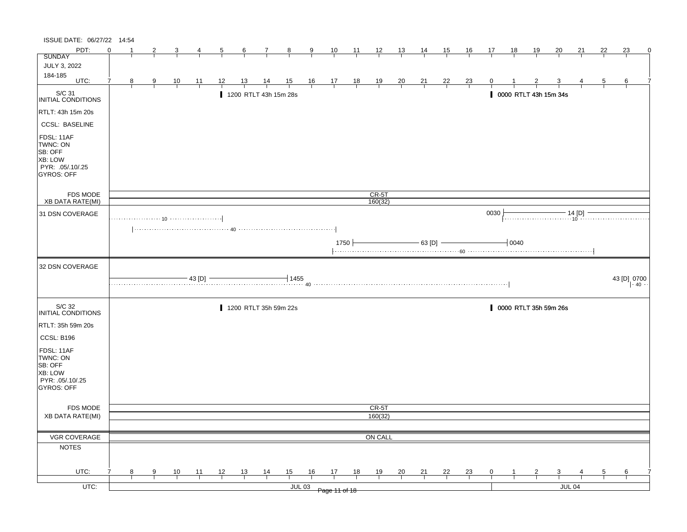| ISSUE DATE: 06/27/22 14:54                                                            |          |   |               |                |                |                |                |                       |                |               |                                                                |                |                  |                |                |                |                |                |              |                |                         |          |    |             |   |
|---------------------------------------------------------------------------------------|----------|---|---------------|----------------|----------------|----------------|----------------|-----------------------|----------------|---------------|----------------------------------------------------------------|----------------|------------------|----------------|----------------|----------------|----------------|----------------|--------------|----------------|-------------------------|----------|----|-------------|---|
| PDT:                                                                                  | $\Omega$ |   | 2             |                | 4              | $\frac{5}{}$   | $\frac{6}{ }$  | $\frac{7}{4}$         | $\frac{8}{1}$  | $\frac{9}{1}$ | $\frac{10}{1}$                                                 | $\frac{11}{1}$ | $\frac{12}{ }$   | $\frac{13}{1}$ | $\frac{14}{1}$ | 15             | $\frac{16}{1}$ | <u>17</u>      | 18           | <u>19</u>      | 20                      | 21       | 22 | 23          | 0 |
| <b>SUNDAY</b>                                                                         |          |   |               |                |                |                |                |                       |                |               |                                                                |                |                  |                |                |                |                |                |              |                |                         |          |    |             |   |
| JULY 3, 2022                                                                          |          |   |               |                |                |                |                |                       |                |               |                                                                |                |                  |                |                |                |                |                |              |                |                         |          |    |             |   |
| 184-185<br>UTC:                                                                       | 7        | 8 | $\frac{9}{2}$ | $\frac{10}{1}$ | $\frac{11}{1}$ | <u> 12 </u>    | <u>13</u>      | $\frac{14}{1}$        | $\frac{15}{1}$ |               | $\begin{array}{c cc} 16 & 17 & 18 \\ \hline & & & \end{array}$ |                | $\frac{19}{1}$   | $\frac{20}{1}$ | $\frac{21}{1}$ | $\frac{22}{ }$ | $\frac{23}{1}$ |                |              |                |                         |          | b. | 6           |   |
| S/C 31<br>INITIAL CONDITIONS                                                          |          |   |               |                |                |                |                | 1200 RTLT 43h 15m 28s |                |               |                                                                |                |                  |                |                |                |                |                |              |                | 0000 RTLT 43h 15m 34s   |          |    |             |   |
| RTLT: 43h 15m 20s                                                                     |          |   |               |                |                |                |                |                       |                |               |                                                                |                |                  |                |                |                |                |                |              |                |                         |          |    |             |   |
| <b>CCSL: BASELINE</b>                                                                 |          |   |               |                |                |                |                |                       |                |               |                                                                |                |                  |                |                |                |                |                |              |                |                         |          |    |             |   |
| FDSL: 11AF<br>TWNC: ON<br>SB: OFF<br>XB: LOW<br>PYR: .05/.10/.25<br><b>GYROS: OFF</b> |          |   |               |                |                |                |                |                       |                |               |                                                                |                |                  |                |                |                |                |                |              |                |                         |          |    |             |   |
| FDS MODE                                                                              |          |   |               |                |                |                |                |                       |                |               |                                                                |                | $CR-5T$          |                |                |                |                |                |              |                |                         |          |    |             |   |
| XB DATA RATE(MI)                                                                      |          |   |               |                |                |                |                |                       |                |               |                                                                |                | 160(32)          |                |                |                |                |                |              |                |                         |          |    |             |   |
| 31 DSN COVERAGE                                                                       |          |   |               |                |                |                |                |                       |                |               |                                                                |                |                  |                |                |                |                | 0030           |              |                |                         |          |    |             |   |
|                                                                                       |          |   |               |                |                |                |                |                       |                |               |                                                                |                |                  |                |                |                |                |                |              |                |                         |          |    |             |   |
|                                                                                       |          |   |               |                |                |                |                |                       |                |               |                                                                | $1750 +$       |                  |                | $-63$ [D] $-$  |                |                |                | $\vert$ 0040 |                |                         |          |    |             |   |
| 32 DSN COVERAGE                                                                       |          |   |               |                |                |                |                |                       |                |               |                                                                |                |                  |                |                |                |                |                |              |                |                         |          |    |             |   |
|                                                                                       |          |   |               |                | $43$ [D] $-$   |                |                |                       | $+1455$        |               |                                                                |                |                  |                |                |                |                |                |              |                |                         |          |    | 43 [D] 0700 |   |
| S/C 32<br><b>INITIAL CONDITIONS</b>                                                   |          |   |               |                |                |                |                | 1200 RTLT 35h 59m 22s |                |               |                                                                |                |                  |                |                |                |                |                |              |                | 0000 RTLT 35h 59m 26s   |          |    |             |   |
| RTLT: 35h 59m 20s                                                                     |          |   |               |                |                |                |                |                       |                |               |                                                                |                |                  |                |                |                |                |                |              |                |                         |          |    |             |   |
| CCSL: B196                                                                            |          |   |               |                |                |                |                |                       |                |               |                                                                |                |                  |                |                |                |                |                |              |                |                         |          |    |             |   |
| FDSL: 11AF<br>TWNC: ON<br>SB: OFF<br>XB: LOW<br>PYR: 05/10/25<br>GYROS: OFF           |          |   |               |                |                |                |                |                       |                |               |                                                                |                |                  |                |                |                |                |                |              |                |                         |          |    |             |   |
|                                                                                       |          |   |               |                |                |                |                |                       |                |               |                                                                |                |                  |                |                |                |                |                |              |                |                         |          |    |             |   |
| <b>FDS MODE</b><br><b>XB DATA RATE(MI)</b>                                            |          |   |               |                |                |                |                |                       |                |               |                                                                |                | CR-5T<br>160(32) |                |                |                |                |                |              |                |                         |          |    |             |   |
|                                                                                       |          |   |               |                |                |                |                |                       |                |               |                                                                |                |                  |                |                |                |                |                |              |                |                         |          |    |             |   |
| VGR COVERAGE                                                                          |          |   |               |                |                |                |                |                       |                |               |                                                                |                | ON CALL          |                |                |                |                |                |              |                |                         |          |    |             |   |
| <b>NOTES</b>                                                                          |          |   |               |                |                |                |                |                       |                |               |                                                                |                |                  |                |                |                |                |                |              |                |                         |          |    |             |   |
|                                                                                       |          |   |               |                |                |                |                |                       |                |               |                                                                |                |                  |                |                |                |                |                |              |                |                         |          |    |             |   |
| UTC:                                                                                  |          | 8 | 9             | $\frac{10}{1}$ | $\frac{11}{1}$ | $\frac{12}{ }$ | $\frac{13}{ }$ | $\frac{14}{1}$        | $\frac{15}{1}$ | 16            | $\frac{17}{2}$                                                 | 18             | $\frac{19}{1}$   | $\frac{20}{}$  | $\frac{21}{1}$ | $\frac{22}{1}$ | $\frac{23}{1}$ | $\overline{0}$ |              | $\overline{z}$ | $\overline{\mathbf{3}}$ |          | 5  | 6           |   |
| $UTC$ :                                                                               |          |   |               |                |                |                |                |                       |                | $JUL$ 03      |                                                                |                |                  |                |                |                |                |                |              |                |                         | $JUL$ 04 |    |             |   |
|                                                                                       |          |   |               |                |                |                |                |                       |                |               | Page 11 of 18                                                  |                |                  |                |                |                |                |                |              |                |                         |          |    |             |   |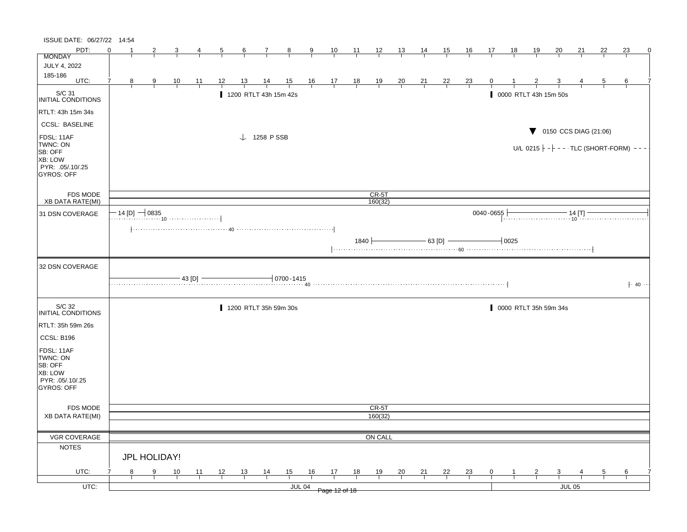| ISSUE DATE: 06/27/22 14:54                                                            |   |   |                     |                |           |                |                 |                        |                                   |                |                                                              |                 |                |                |                |                |                  |           |           |                       |                         |               |                                                                                                                                                                                                                                                                                                             |    |                    |
|---------------------------------------------------------------------------------------|---|---|---------------------|----------------|-----------|----------------|-----------------|------------------------|-----------------------------------|----------------|--------------------------------------------------------------|-----------------|----------------|----------------|----------------|----------------|------------------|-----------|-----------|-----------------------|-------------------------|---------------|-------------------------------------------------------------------------------------------------------------------------------------------------------------------------------------------------------------------------------------------------------------------------------------------------------------|----|--------------------|
| PDT:                                                                                  | ∩ |   | $\overline{2}$      | 3              | 4         | $\overline{5}$ | $6\overline{6}$ | $\overline{7}$         | $\frac{8}{ }$                     | $\overline{9}$ | 10                                                           | $\overline{11}$ | $\frac{12}{ }$ | $\frac{13}{2}$ | $\frac{14}{1}$ | 15             | $\underline{16}$ | 17        | <u>18</u> | <u>19</u>             | 20                      | 21            | 22                                                                                                                                                                                                                                                                                                          | 23 | 0                  |
| <b>MONDAY</b>                                                                         |   |   |                     |                |           |                |                 |                        |                                   |                |                                                              |                 |                |                |                |                |                  |           |           |                       |                         |               |                                                                                                                                                                                                                                                                                                             |    |                    |
| <b>JULY 4, 2022</b>                                                                   |   |   |                     |                |           |                |                 |                        |                                   |                |                                                              |                 |                |                |                |                |                  |           |           |                       |                         |               |                                                                                                                                                                                                                                                                                                             |    |                    |
| 185-186<br>UTC:                                                                       | 7 | 8 | $\frac{9}{1}$       | $\frac{10}{1}$ | 11        | 12             | 13              | $\frac{14}{1}$         | $\frac{15}{1}$                    |                | $\begin{array}{cccccc}\n16 & 17 & 18 \\ \hline\n\end{array}$ |                 | $\frac{19}{1}$ | $\frac{20}{1}$ | $\frac{21}{1}$ | $\frac{22}{1}$ | $\frac{23}{1}$   |           |           |                       |                         |               | b                                                                                                                                                                                                                                                                                                           | 6  |                    |
|                                                                                       |   |   |                     |                |           |                |                 |                        |                                   |                |                                                              |                 |                |                |                |                |                  |           |           |                       |                         |               |                                                                                                                                                                                                                                                                                                             |    |                    |
| S/C 31<br><b>INITIAL CONDITIONS</b>                                                   |   |   |                     |                |           |                |                 |                        | 1200 RTLT 43h 15m 42s             |                |                                                              |                 |                |                |                |                |                  |           |           | 0000 RTLT 43h 15m 50s |                         |               |                                                                                                                                                                                                                                                                                                             |    |                    |
| RTLT: 43h 15m 34s                                                                     |   |   |                     |                |           |                |                 |                        |                                   |                |                                                              |                 |                |                |                |                |                  |           |           |                       |                         |               |                                                                                                                                                                                                                                                                                                             |    |                    |
| <b>CCSL: BASELINE</b>                                                                 |   |   |                     |                |           |                |                 |                        |                                   |                |                                                              |                 |                |                |                |                |                  |           |           |                       |                         |               | $\blacktriangledown$ 0150 CCS DIAG (21:06)                                                                                                                                                                                                                                                                  |    |                    |
| FDSL: 11AF<br>TWNC: ON<br>SB: OFF<br>XB: LOW<br>PYR: .05/.10/.25<br><b>GYROS: OFF</b> |   |   |                     |                |           |                |                 | $\downarrow$ 1258 PSSB |                                   |                |                                                              |                 |                |                |                |                |                  |           |           |                       |                         |               | U/L 0215 $\vdash$ - $\vdash$ - - · TLC (SHORT-FORM) -                                                                                                                                                                                                                                                       |    |                    |
| FDS MODE                                                                              |   |   |                     |                |           |                |                 |                        |                                   |                |                                                              |                 | $CR-5T$        |                |                |                |                  |           |           |                       |                         |               |                                                                                                                                                                                                                                                                                                             |    |                    |
| <b>XB DATA RATE(MI)</b>                                                               |   |   |                     |                |           |                |                 |                        |                                   |                |                                                              |                 | 160(32)        |                |                |                |                  |           |           |                       |                         |               |                                                                                                                                                                                                                                                                                                             |    |                    |
| 31 DSN COVERAGE                                                                       |   |   | $-$ 14 [D] $-$ 0835 |                |           |                |                 |                        |                                   |                |                                                              |                 |                |                |                |                |                  | 0040-0655 |           |                       |                         |               | $\frac{1}{10}$ $\frac{1}{10}$ $\frac{1}{10}$ $\frac{1}{10}$ $\frac{1}{10}$ $\frac{1}{10}$ $\frac{1}{10}$ $\frac{1}{10}$ $\frac{1}{10}$ $\frac{1}{10}$ $\frac{1}{10}$ $\frac{1}{10}$ $\frac{1}{10}$ $\frac{1}{10}$ $\frac{1}{10}$ $\frac{1}{10}$ $\frac{1}{10}$ $\frac{1}{10}$ $\frac{1}{10}$ $\frac{1}{10}$ |    |                    |
|                                                                                       |   |   |                     |                |           |                |                 |                        |                                   |                |                                                              |                 |                |                |                |                |                  |           |           |                       |                         |               |                                                                                                                                                                                                                                                                                                             |    |                    |
|                                                                                       |   |   |                     |                |           |                |                 |                        |                                   |                |                                                              | 1840 $\vert$    |                |                |                | $-$ 63 [D] $-$ |                  |           | $-10025$  |                       |                         |               |                                                                                                                                                                                                                                                                                                             |    |                    |
| 32 DSN COVERAGE                                                                       |   |   |                     |                |           |                |                 |                        |                                   |                |                                                              |                 |                |                |                |                |                  |           |           |                       |                         |               |                                                                                                                                                                                                                                                                                                             |    |                    |
|                                                                                       |   |   |                     |                | $-43$ [D] |                |                 |                        | $\frac{1}{2}$ 0700 - 1415<br>. 40 |                |                                                              |                 |                |                |                |                |                  |           |           |                       |                         |               |                                                                                                                                                                                                                                                                                                             |    | $\cdot$ 40 $\cdot$ |
| S/C 32<br>INITIAL CONDITIONS                                                          |   |   |                     |                |           |                |                 |                        | 1200 RTLT 35h 59m 30s             |                |                                                              |                 |                |                |                |                |                  |           |           | 0000 RTLT 35h 59m 34s |                         |               |                                                                                                                                                                                                                                                                                                             |    |                    |
| RTLT: 35h 59m 26s                                                                     |   |   |                     |                |           |                |                 |                        |                                   |                |                                                              |                 |                |                |                |                |                  |           |           |                       |                         |               |                                                                                                                                                                                                                                                                                                             |    |                    |
| CCSL: B196                                                                            |   |   |                     |                |           |                |                 |                        |                                   |                |                                                              |                 |                |                |                |                |                  |           |           |                       |                         |               |                                                                                                                                                                                                                                                                                                             |    |                    |
| FDSL: 11AF<br>TWNC: ON<br>SB: OFF<br>XB: LOW<br>PYR: .05/.10/.25<br>GYROS: OFF        |   |   |                     |                |           |                |                 |                        |                                   |                |                                                              |                 |                |                |                |                |                  |           |           |                       |                         |               |                                                                                                                                                                                                                                                                                                             |    |                    |
| FDS MODE                                                                              |   |   |                     |                |           |                |                 |                        |                                   |                |                                                              |                 | CR-5T          |                |                |                |                  |           |           |                       |                         |               |                                                                                                                                                                                                                                                                                                             |    |                    |
| <b>XB DATA RATE(MI)</b>                                                               |   |   |                     |                |           |                |                 |                        |                                   |                |                                                              |                 | 160(32)        |                |                |                |                  |           |           |                       |                         |               |                                                                                                                                                                                                                                                                                                             |    |                    |
| VGR COVERAGE                                                                          |   |   |                     |                |           |                |                 |                        |                                   |                |                                                              |                 | ON CALL        |                |                |                |                  |           |           |                       |                         |               |                                                                                                                                                                                                                                                                                                             |    |                    |
| <b>NOTES</b>                                                                          |   |   |                     |                |           |                |                 |                        |                                   |                |                                                              |                 |                |                |                |                |                  |           |           |                       |                         |               |                                                                                                                                                                                                                                                                                                             |    |                    |
|                                                                                       |   |   | JPL HOLIDAY!        |                |           |                |                 |                        |                                   |                |                                                              |                 |                |                |                |                |                  |           |           |                       |                         |               |                                                                                                                                                                                                                                                                                                             |    |                    |
| UTC:                                                                                  |   | 8 | $\frac{9}{1}$       | 10             | 11        | 12             | $\frac{13}{2}$  | $\frac{14}{1}$         | $\frac{15}{1}$                    | $\frac{16}{1}$ | 17                                                           | 18              | <u>19</u>      | $\frac{20}{}$  | $\frac{21}{1}$ | $\frac{22}{1}$ | $\frac{23}{1}$   | 0         |           | 2                     | $\overline{\mathbf{3}}$ |               |                                                                                                                                                                                                                                                                                                             | 6  |                    |
| UTC:                                                                                  |   |   |                     |                |           |                |                 |                        |                                   | <b>JUL 04</b>  | Page 12 of 18                                                |                 |                |                |                |                |                  |           |           |                       |                         | <b>JUL 05</b> |                                                                                                                                                                                                                                                                                                             |    |                    |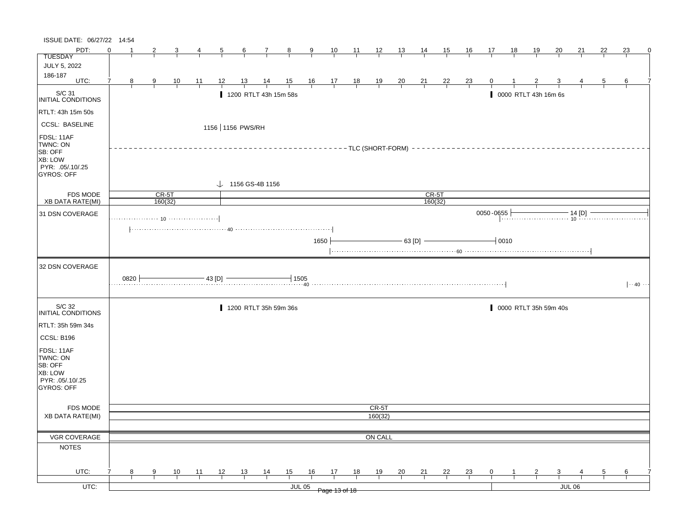| ISSUE DATE: 06/27/22 14:54                                                            |                |      |              |         |    |                |                  |                              |               |                |                               |                           |                |                |                    |    |                |              |              |                       |    |                                                                                                                                                                                                                                                                                                                |    |    |                      |
|---------------------------------------------------------------------------------------|----------------|------|--------------|---------|----|----------------|------------------|------------------------------|---------------|----------------|-------------------------------|---------------------------|----------------|----------------|--------------------|----|----------------|--------------|--------------|-----------------------|----|----------------------------------------------------------------------------------------------------------------------------------------------------------------------------------------------------------------------------------------------------------------------------------------------------------------|----|----|----------------------|
| PDT:                                                                                  | $\Omega$       |      | $\mathbf{2}$ | 3       | 4  | $\overline{5}$ | 6                |                              | 7 8           | 9              |                               | 10 11 12 13 14            |                |                |                    | 15 | 16             | 17           | 18           | <u> 19</u>            | 20 | 21                                                                                                                                                                                                                                                                                                             | 22 | 23 | 0                    |
| <b>TUESDAY</b>                                                                        |                |      |              |         |    |                |                  |                              |               |                |                               |                           |                |                |                    |    |                |              |              |                       |    |                                                                                                                                                                                                                                                                                                                |    |    |                      |
| JULY 5, 2022                                                                          |                |      |              |         |    |                |                  |                              |               |                |                               |                           |                |                |                    |    |                |              |              |                       |    |                                                                                                                                                                                                                                                                                                                |    |    |                      |
| 186-187<br>UTC:                                                                       | $\overline{7}$ | 8    | 9            | 10      | 11 | 12             | 13               | 14                           | 15            | $\frac{16}{1}$ | $\frac{17}{1}$ $\frac{18}{1}$ |                           | $\frac{19}{1}$ | $\frac{20}{1}$ | $\frac{21}{2}$     | 22 | $\frac{23}{2}$ | $\mathbf{0}$ |              |                       |    |                                                                                                                                                                                                                                                                                                                | 5  | 6  |                      |
| S/C 31<br><b>INITIAL CONDITIONS</b>                                                   |                |      |              |         |    |                |                  | 1200 RTLT 43h 15m 58s        |               |                |                               |                           |                |                |                    |    |                |              |              | 0000 RTLT 43h 16m 6s  |    |                                                                                                                                                                                                                                                                                                                |    |    |                      |
| RTLT: 43h 15m 50s                                                                     |                |      |              |         |    |                |                  |                              |               |                |                               |                           |                |                |                    |    |                |              |              |                       |    |                                                                                                                                                                                                                                                                                                                |    |    |                      |
| <b>CCSL: BASELINE</b>                                                                 |                |      |              |         |    |                | 1156 1156 PWS/RH |                              |               |                |                               |                           |                |                |                    |    |                |              |              |                       |    |                                                                                                                                                                                                                                                                                                                |    |    |                      |
| FDSL: 11AF<br>TWNC: ON<br>SB: OFF<br>XB: LOW<br>PYR: .05/.10/.25<br>GYROS: OFF        |                |      |              |         |    |                |                  |                              |               |                |                               | -------TLC (SHORT-FORM) - |                |                |                    |    |                |              |              |                       |    |                                                                                                                                                                                                                                                                                                                |    |    |                      |
|                                                                                       |                |      |              |         |    |                |                  | $\downarrow$ 1156 GS-4B 1156 |               |                |                               |                           |                |                |                    |    |                |              |              |                       |    |                                                                                                                                                                                                                                                                                                                |    |    |                      |
| <b>FDS MODE</b><br><b>XB DATA RATE(MI)</b>                                            |                |      | $CR-5T$      | 160(32) |    |                |                  |                              |               |                |                               |                           |                |                | $CR-5T$<br>160(32) |    |                |              |              |                       |    |                                                                                                                                                                                                                                                                                                                |    |    |                      |
| 31 DSN COVERAGE                                                                       |                |      |              |         |    |                |                  |                              |               |                |                               |                           |                |                |                    |    |                | 0050-0655    |              |                       |    |                                                                                                                                                                                                                                                                                                                |    |    |                      |
|                                                                                       |                |      |              |         |    |                |                  |                              |               |                |                               |                           |                |                |                    |    |                |              |              |                       |    | 555 $\frac{1}{10}$ $\frac{14}{10}$ $\frac{1}{10}$ $\frac{1}{10}$ $\frac{1}{10}$ $\frac{1}{10}$ $\frac{1}{10}$ $\frac{1}{10}$ $\frac{1}{10}$ $\frac{1}{10}$ $\frac{1}{10}$ $\frac{1}{10}$ $\frac{1}{10}$ $\frac{1}{10}$ $\frac{1}{10}$ $\frac{1}{10}$ $\frac{1}{10}$ $\frac{1}{10}$ $\frac{1}{10}$ $\frac{1}{1$ |    |    |                      |
|                                                                                       |                |      |              |         |    |                |                  |                              |               | 1650           |                               |                           |                |                | $-$ 63 [D] $-$     |    |                |              | $-0010$      |                       |    |                                                                                                                                                                                                                                                                                                                |    |    |                      |
| 32 DSN COVERAGE                                                                       |                |      |              |         |    |                |                  |                              |               |                |                               |                           |                |                |                    |    |                |              |              |                       |    |                                                                                                                                                                                                                                                                                                                |    |    |                      |
|                                                                                       |                | 0820 |              |         |    | $-43$ [D] $-$  |                  |                              | $\dashv$ 1505 |                |                               |                           |                |                |                    |    |                |              |              |                       |    |                                                                                                                                                                                                                                                                                                                |    |    | $\cdots$ 40 $\cdots$ |
| S/C 32<br>INITIAL CONDITIONS                                                          |                |      |              |         |    |                |                  | 1200 RTLT 35h 59m 36s        |               |                |                               |                           |                |                |                    |    |                |              |              | 0000 RTLT 35h 59m 40s |    |                                                                                                                                                                                                                                                                                                                |    |    |                      |
| RTLT: 35h 59m 34s                                                                     |                |      |              |         |    |                |                  |                              |               |                |                               |                           |                |                |                    |    |                |              |              |                       |    |                                                                                                                                                                                                                                                                                                                |    |    |                      |
| <b>CCSL: B196</b>                                                                     |                |      |              |         |    |                |                  |                              |               |                |                               |                           |                |                |                    |    |                |              |              |                       |    |                                                                                                                                                                                                                                                                                                                |    |    |                      |
| FDSL: 11AF<br>TWNC: ON<br>SB: OFF<br>XB: LOW<br>PYR: .05/.10/.25<br><b>GYROS: OFF</b> |                |      |              |         |    |                |                  |                              |               |                |                               |                           |                |                |                    |    |                |              |              |                       |    |                                                                                                                                                                                                                                                                                                                |    |    |                      |
| <b>FDS MODE</b>                                                                       |                |      |              |         |    |                |                  |                              |               |                |                               |                           | CR-5T          |                |                    |    |                |              |              |                       |    |                                                                                                                                                                                                                                                                                                                |    |    |                      |
| <b>XB DATA RATE(MI)</b>                                                               |                |      |              |         |    |                |                  |                              |               |                |                               |                           | 160(32)        |                |                    |    |                |              |              |                       |    |                                                                                                                                                                                                                                                                                                                |    |    |                      |
|                                                                                       |                |      |              |         |    |                |                  |                              |               |                |                               |                           |                |                |                    |    |                |              |              |                       |    |                                                                                                                                                                                                                                                                                                                |    |    |                      |
| VGR COVERAGE                                                                          |                |      |              |         |    |                |                  |                              |               |                |                               |                           | ON CALL        |                |                    |    |                |              |              |                       |    |                                                                                                                                                                                                                                                                                                                |    |    |                      |
| <b>NOTES</b>                                                                          |                |      |              |         |    |                |                  |                              |               |                |                               |                           |                |                |                    |    |                |              |              |                       |    |                                                                                                                                                                                                                                                                                                                |    |    |                      |
| UTC:                                                                                  | 7              |      |              |         |    |                |                  |                              | 15            | 16             |                               |                           |                |                |                    |    |                | $\mathbf 0$  | $\mathbf{1}$ |                       |    |                                                                                                                                                                                                                                                                                                                |    |    |                      |
|                                                                                       |                | 8    | 9            | 10      | 11 | 12             | 13               | 14                           |               |                | 17                            | 18                        | 19             | 20             | 21                 | 22 | 23             |              |              | 2                     | 3  | 4                                                                                                                                                                                                                                                                                                              | 5  | 6  |                      |
| UTC:                                                                                  |                |      |              |         |    |                |                  |                              | <b>JUL 05</b> |                | Page 13 of 18                 |                           |                |                |                    |    |                |              |              |                       |    | <b>JUL 06</b>                                                                                                                                                                                                                                                                                                  |    |    |                      |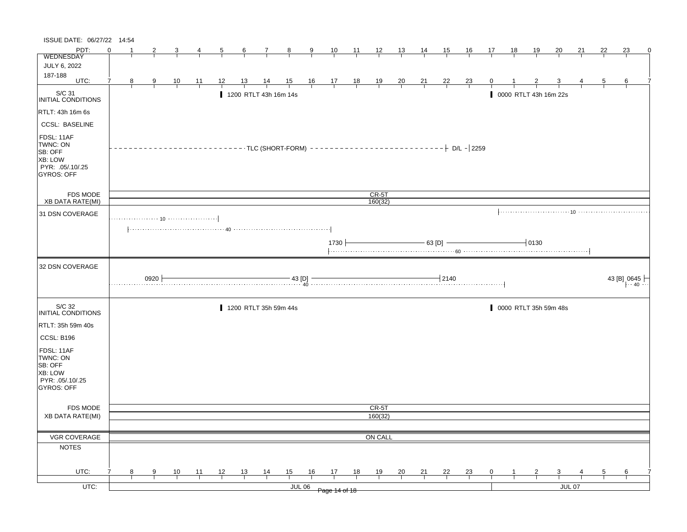| ISSUE DATE: 06/27/22 14:54                                                                   |        |               |                |    |                |                 |                       |                          |                |                                                                |                 |                    |                               |                 |                |                        |    |                       |           |               |    |    |                                 |   |
|----------------------------------------------------------------------------------------------|--------|---------------|----------------|----|----------------|-----------------|-----------------------|--------------------------|----------------|----------------------------------------------------------------|-----------------|--------------------|-------------------------------|-----------------|----------------|------------------------|----|-----------------------|-----------|---------------|----|----|---------------------------------|---|
| PDT:                                                                                         | ∩      | 2             | 3              |    | $\overline{5}$ | $6\overline{6}$ | $\overline{1}$        | $\frac{8}{ }$            | $\overline{9}$ | 10                                                             | $\overline{11}$ |                    | $\frac{12}{1}$ $\frac{13}{1}$ | $\overline{14}$ | 15             | 16                     | 17 | <u>18</u>             | <u>19</u> | 20            | 21 | 22 | 23                              | 0 |
| <b>WEDNESDAY</b>                                                                             |        |               |                |    |                |                 |                       |                          |                |                                                                |                 |                    |                               |                 |                |                        |    |                       |           |               |    |    |                                 |   |
| JULY 6, 2022<br>187-188                                                                      |        |               |                |    |                |                 |                       |                          |                |                                                                |                 |                    |                               |                 |                |                        |    |                       |           |               |    |    |                                 |   |
| UTC:                                                                                         | 7<br>8 | $\frac{9}{1}$ | $\frac{10}{1}$ | 11 | 12             | 13              | $\frac{14}{1}$        | $\frac{15}{1}$           |                | $\begin{array}{c cc} 16 & 17 & 18 \\ \hline & & & \end{array}$ |                 | $\frac{19}{1}$     | $\frac{20}{1}$                | $\frac{21}{1}$  | $\frac{22}{1}$ | $\frac{23}{1}$         |    |                       |           |               |    |    | 6                               |   |
| S/C 31<br><b>INITIAL CONDITIONS</b>                                                          |        |               |                |    |                |                 | 1200 RTLT 43h 16m 14s |                          |                |                                                                |                 |                    |                               |                 |                |                        |    | 0000 RTLT 43h 16m 22s |           |               |    |    |                                 |   |
| RTLT: 43h 16m 6s                                                                             |        |               |                |    |                |                 |                       |                          |                |                                                                |                 |                    |                               |                 |                |                        |    |                       |           |               |    |    |                                 |   |
| <b>CCSL: BASELINE</b>                                                                        |        |               |                |    |                |                 |                       |                          |                |                                                                |                 |                    |                               |                 |                |                        |    |                       |           |               |    |    |                                 |   |
| FDSL: 11AF<br>TWNC: ON<br>SB: OFF<br>XB: LOW<br>PYR: .05/.10/.25<br>GYROS: OFF               |        |               |                |    |                |                 |                       | $----TLC (SHORT-FORM) -$ |                |                                                                |                 |                    |                               | ----------      |                | $ \vdash$ D/L $-$ 2259 |    |                       |           |               |    |    |                                 |   |
| FDS MODE<br><b>XB DATA RATE(MI)</b>                                                          |        |               |                |    |                |                 |                       |                          |                |                                                                |                 | $CR-5T$<br>160(32) |                               |                 |                |                        |    |                       |           |               |    |    |                                 |   |
|                                                                                              |        |               |                |    |                |                 |                       |                          |                |                                                                |                 |                    |                               |                 |                |                        |    |                       |           |               |    |    |                                 |   |
| 31 DSN COVERAGE                                                                              |        |               |                |    |                |                 |                       |                          |                |                                                                |                 |                    |                               |                 |                |                        |    |                       |           |               |    |    |                                 |   |
|                                                                                              |        |               |                |    |                |                 |                       |                          |                |                                                                |                 |                    |                               |                 |                |                        |    |                       |           |               |    |    |                                 |   |
|                                                                                              |        |               |                |    |                |                 |                       |                          |                | 1730                                                           |                 |                    |                               |                 | - 63 [D] -     |                        |    |                       | $-10130$  |               |    |    |                                 |   |
| 32 DSN COVERAGE                                                                              |        |               |                |    |                |                 |                       |                          |                |                                                                |                 |                    |                               |                 |                |                        |    |                       |           |               |    |    |                                 |   |
|                                                                                              |        |               |                |    |                |                 |                       |                          |                |                                                                |                 |                    |                               |                 |                |                        |    |                       |           |               |    |    |                                 |   |
|                                                                                              |        | $0920 +$      |                |    |                |                 |                       |                          | $-43$ [D] $-$  |                                                                |                 |                    |                               |                 | $-12140$       |                        |    |                       |           |               |    |    | 43 [B] 0645<br>$\cdot \cdot 40$ |   |
| S/C 32<br><b>INITIAL CONDITIONS</b>                                                          |        |               |                |    |                |                 | 1200 RTLT 35h 59m 44s |                          |                |                                                                |                 |                    |                               |                 |                |                        |    | 0000 RTLT 35h 59m 48s |           |               |    |    |                                 |   |
| RTLT: 35h 59m 40s                                                                            |        |               |                |    |                |                 |                       |                          |                |                                                                |                 |                    |                               |                 |                |                        |    |                       |           |               |    |    |                                 |   |
|                                                                                              |        |               |                |    |                |                 |                       |                          |                |                                                                |                 |                    |                               |                 |                |                        |    |                       |           |               |    |    |                                 |   |
| CCSL: B196<br>FDSL: 11AF<br>TWNC: ON<br>SB: OFF<br>XB: LOW<br>PYR: .05/.10/.25<br>GYROS: OFF |        |               |                |    |                |                 |                       |                          |                |                                                                |                 |                    |                               |                 |                |                        |    |                       |           |               |    |    |                                 |   |
|                                                                                              |        |               |                |    |                |                 |                       |                          |                |                                                                |                 |                    |                               |                 |                |                        |    |                       |           |               |    |    |                                 |   |
| <b>FDS MODE</b><br><b>XB DATA RATE(MI)</b>                                                   |        |               |                |    |                |                 |                       |                          |                |                                                                |                 | CR-5T<br>160(32)   |                               |                 |                |                        |    |                       |           |               |    |    |                                 |   |
|                                                                                              |        |               |                |    |                |                 |                       |                          |                |                                                                |                 |                    |                               |                 |                |                        |    |                       |           |               |    |    |                                 |   |
| VGR COVERAGE                                                                                 |        |               |                |    |                |                 |                       |                          |                |                                                                |                 | ON CALL            |                               |                 |                |                        |    |                       |           |               |    |    |                                 |   |
| <b>NOTES</b>                                                                                 |        |               |                |    |                |                 |                       |                          |                |                                                                |                 |                    |                               |                 |                |                        |    |                       |           |               |    |    |                                 |   |
| UTC:                                                                                         | 7<br>8 | 9             | 10             | 11 | 12             | 13              | $\frac{14}{1}$        | $\frac{15}{1}$           | 16             | 17                                                             | 18              | 19                 | 20                            | 21              | $\frac{22}{ }$ | $\frac{23}{1}$         | 0  |                       |           | 3             |    |    | 6                               |   |
| UTC:                                                                                         |        |               |                |    |                |                 |                       |                          | <b>JUL 06</b>  | Page 14 of 18                                                  |                 |                    |                               |                 |                |                        |    |                       |           | <b>JUL 07</b> |    |    |                                 |   |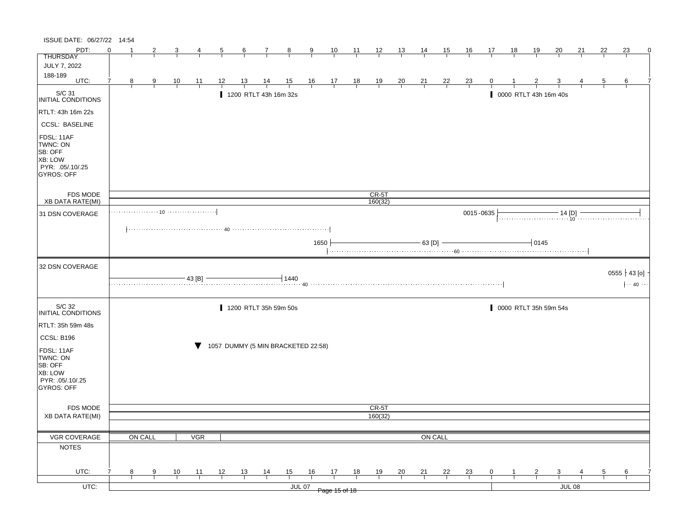| ISSUE DATE: 06/27/22 14:54                                                                          |          |         |                |                |                |                |                |                       |                                    |                     |                               |                |                |                |                |                |                |    |           |                |                       |          |    |                                                |   |
|-----------------------------------------------------------------------------------------------------|----------|---------|----------------|----------------|----------------|----------------|----------------|-----------------------|------------------------------------|---------------------|-------------------------------|----------------|----------------|----------------|----------------|----------------|----------------|----|-----------|----------------|-----------------------|----------|----|------------------------------------------------|---|
| PDT:                                                                                                | $\Omega$ |         | 2              |                |                | $\overline{5}$ | $\frac{6}{ }$  | 7                     | $\frac{8}{ }$                      | $\overline{9}$      | $\frac{10}{1}$                | $\frac{11}{1}$ | $\frac{12}{ }$ | $\frac{13}{1}$ | <u>14</u>      | 15             | $\frac{16}{1}$ | 17 | <u>18</u> | $\frac{19}{1}$ | 20                    | 21       | 22 | 23                                             | 0 |
| <b>THURSDAY</b><br>JULY 7, 2022                                                                     |          |         |                |                |                |                |                |                       |                                    |                     |                               |                |                |                |                |                |                |    |           |                |                       |          |    |                                                |   |
| 188-189                                                                                             |          |         |                |                |                |                |                |                       |                                    |                     |                               |                |                |                |                |                |                |    |           |                |                       |          |    |                                                |   |
| UTC:                                                                                                |          | 8       | $\overline{9}$ | $\frac{10}{1}$ | $\frac{11}{1}$ | <u>12</u>      | <u>13</u>      | $\frac{14}{1}$        | $\frac{15}{1}$                     |                     | $\frac{16}{1}$ $\frac{17}{1}$ | $\frac{18}{1}$ | $\frac{19}{1}$ | $\frac{20}{}$  | $\frac{21}{1}$ | $\frac{22}{1}$ | $\frac{23}{1}$ |    |           |                |                       |          |    | 6                                              |   |
| S/C 31<br>INITIAL CONDITIONS                                                                        |          |         |                |                |                |                |                | 1200 RTLT 43h 16m 32s |                                    |                     |                               |                |                |                |                |                |                |    |           |                | 0000 RTLT 43h 16m 40s |          |    |                                                |   |
| RTLT: 43h 16m 22s                                                                                   |          |         |                |                |                |                |                |                       |                                    |                     |                               |                |                |                |                |                |                |    |           |                |                       |          |    |                                                |   |
| <b>CCSL: BASELINE</b>                                                                               |          |         |                |                |                |                |                |                       |                                    |                     |                               |                |                |                |                |                |                |    |           |                |                       |          |    |                                                |   |
| FDSL: 11AF<br>TWNC: ON<br>SB: OFF<br><b>XB: LOW</b><br>PYR: .05/.10/.25<br><b>GYROS: OFF</b>        |          |         |                |                |                |                |                |                       |                                    |                     |                               |                |                |                |                |                |                |    |           |                |                       |          |    |                                                |   |
| <b>FDS MODE</b>                                                                                     |          |         |                |                |                |                |                |                       |                                    |                     |                               |                | $CR-5T$        |                |                |                |                |    |           |                |                       |          |    |                                                |   |
| <b>XB DATA RATE(MI)</b>                                                                             |          |         |                |                |                |                |                |                       |                                    |                     |                               |                | 160(32)        |                |                |                | 0015-0635      |    |           |                |                       |          |    |                                                |   |
| 31 DSN COVERAGE                                                                                     |          |         |                |                |                |                |                |                       |                                    |                     |                               |                |                |                |                |                |                |    |           |                |                       |          |    |                                                |   |
|                                                                                                     |          |         |                |                |                |                |                |                       |                                    |                     |                               |                |                |                |                |                |                |    |           |                |                       |          |    |                                                |   |
|                                                                                                     |          |         |                |                |                |                |                |                       |                                    | 1650                |                               |                |                |                | $-63$ [D]      |                |                |    |           | 0145           |                       |          |    |                                                |   |
|                                                                                                     |          |         |                |                |                |                |                |                       |                                    |                     |                               |                |                |                |                |                |                |    |           |                |                       |          |    |                                                |   |
| 32 DSN COVERAGE                                                                                     |          |         |                |                |                |                |                |                       |                                    |                     |                               |                |                |                |                |                |                |    |           |                |                       |          |    |                                                |   |
|                                                                                                     |          |         |                |                | 43 [B]         |                |                |                       | $+1440$                            |                     |                               |                |                |                |                |                |                |    |           |                |                       |          |    | $0555 \nmid 43 [o]$<br>$ \cdot 40 \cdot \cdot$ |   |
| S/C 32<br>INITIAL CONDITIONS                                                                        |          |         |                |                |                |                |                | 1200 RTLT 35h 59m 50s |                                    |                     |                               |                |                |                |                |                |                |    |           |                | 0000 RTLT 35h 59m 54s |          |    |                                                |   |
| RTLT: 35h 59m 48s                                                                                   |          |         |                |                |                |                |                |                       |                                    |                     |                               |                |                |                |                |                |                |    |           |                |                       |          |    |                                                |   |
|                                                                                                     |          |         |                |                |                |                |                |                       |                                    |                     |                               |                |                |                |                |                |                |    |           |                |                       |          |    |                                                |   |
| CCSL: B196<br>FDSL: 11AF<br>TWNC: ON<br>SB: OFF<br><b>XB: LOW</b><br>PYR: .05/.10/.25<br>GYROS: OFF |          |         |                |                |                |                |                |                       | 1057 DUMMY (5 MIN BRACKETED 22:58) |                     |                               |                |                |                |                |                |                |    |           |                |                       |          |    |                                                |   |
|                                                                                                     |          |         |                |                |                |                |                |                       |                                    |                     |                               |                |                |                |                |                |                |    |           |                |                       |          |    |                                                |   |
| FDS MODE<br><b>XB DATA RATE(MI)</b>                                                                 |          |         |                |                |                |                |                |                       |                                    |                     |                               |                | CR-5T          |                |                |                |                |    |           |                |                       |          |    |                                                |   |
|                                                                                                     |          |         |                |                |                |                |                |                       |                                    |                     |                               |                | 160(32)        |                |                |                |                |    |           |                |                       |          |    |                                                |   |
| VGR COVERAGE                                                                                        |          | ON CALL |                |                | <b>VGR</b>     |                |                |                       |                                    |                     |                               |                |                |                |                |                |                |    |           |                |                       |          |    |                                                |   |
| <b>NOTES</b>                                                                                        |          |         |                |                |                |                |                |                       |                                    |                     |                               |                |                |                | ON CALL        |                |                |    |           |                |                       |          |    |                                                |   |
|                                                                                                     |          |         |                |                |                |                |                |                       |                                    |                     |                               |                |                |                |                |                |                |    |           |                |                       |          |    |                                                |   |
|                                                                                                     |          |         |                |                |                |                |                |                       |                                    |                     |                               |                |                |                |                |                |                |    |           |                |                       |          |    |                                                |   |
| UTC:<br>$UTC$ :                                                                                     |          | 8       | 9              | $\frac{10}{1}$ | $\frac{11}{1}$ | 12             | $\frac{13}{ }$ | $\frac{14}{1}$        | 15                                 | 16<br><b>JUL 07</b> | 17                            | 18             | <u>19</u>      | $\frac{20}{}$  | $\frac{21}{1}$ | $\frac{22}{1}$ | $\frac{23}{1}$ | 0  |           |                | 3                     | $JUL$ 08 |    | $6 \overline{6}$                               |   |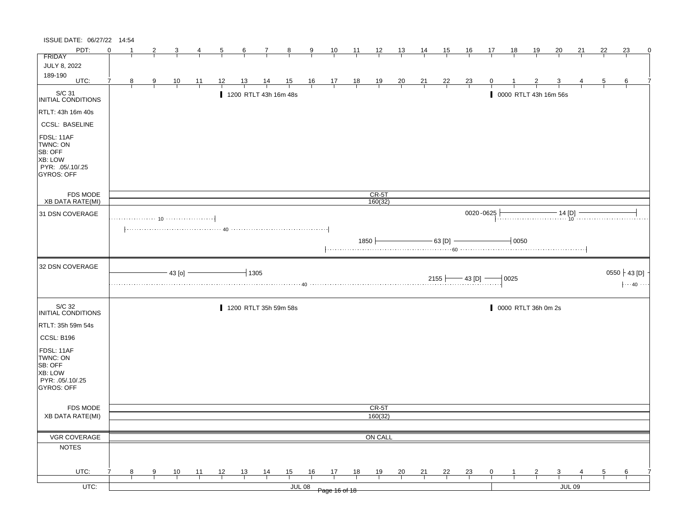| ISSUE DATE: 06/27/22 14:54                                                                |          |                |                |                |                |                |                |                                                                                                                                      |                |               |                                                                |                |                |                |                |                |                      |                |                     |                |                         |               |                |                                                  |   |
|-------------------------------------------------------------------------------------------|----------|----------------|----------------|----------------|----------------|----------------|----------------|--------------------------------------------------------------------------------------------------------------------------------------|----------------|---------------|----------------------------------------------------------------|----------------|----------------|----------------|----------------|----------------|----------------------|----------------|---------------------|----------------|-------------------------|---------------|----------------|--------------------------------------------------|---|
| PDT:                                                                                      | $\Omega$ | -1             | 2              |                | 4              | $\overline{5}$ | $\frac{6}{ }$  | $\mathcal{I}$                                                                                                                        | $\frac{8}{1}$  | $\frac{9}{1}$ | $\frac{10}{1}$                                                 | $\frac{11}{1}$ | $\frac{12}{ }$ | $\frac{13}{2}$ | 14             | 15             | $\frac{16}{1}$       | 17             | <u>18</u>           | <u>19</u>      | 20                      | 21            | 22             | 23                                               | 0 |
| FRIDAY                                                                                    |          |                |                |                |                |                |                |                                                                                                                                      |                |               |                                                                |                |                |                |                |                |                      |                |                     |                |                         |               |                |                                                  |   |
| <b>JULY 8, 2022</b>                                                                       |          |                |                |                |                |                |                |                                                                                                                                      |                |               |                                                                |                |                |                |                |                |                      |                |                     |                |                         |               |                |                                                  |   |
| 189-190<br>UTC:                                                                           | 7        | 8 <sup>8</sup> | $\frac{9}{2}$  | $\frac{10}{1}$ | $\frac{11}{1}$ | 12             | <u>13</u>      | $\frac{14}{1}$                                                                                                                       | $\frac{15}{1}$ |               | $\begin{array}{c cc} 16 & 17 & 18 \\ \hline & & & \end{array}$ |                | $\frac{19}{1}$ | $\frac{20}{1}$ | $\frac{21}{1}$ | $\frac{22}{ }$ | $\frac{23}{1}$       |                |                     |                |                         |               | $\overline{5}$ | 6                                                |   |
|                                                                                           |          |                |                |                |                |                |                |                                                                                                                                      |                |               |                                                                |                |                |                |                |                |                      |                |                     |                |                         |               |                |                                                  |   |
| S/C 31<br>INITIAL CONDITIONS                                                              |          |                |                |                |                |                |                | 1200 RTLT 43h 16m 48s                                                                                                                |                |               |                                                                |                |                |                |                |                |                      |                |                     |                | 0000 RTLT 43h 16m 56s   |               |                |                                                  |   |
| RTLT: 43h 16m 40s                                                                         |          |                |                |                |                |                |                |                                                                                                                                      |                |               |                                                                |                |                |                |                |                |                      |                |                     |                |                         |               |                |                                                  |   |
| <b>CCSL: BASELINE</b>                                                                     |          |                |                |                |                |                |                |                                                                                                                                      |                |               |                                                                |                |                |                |                |                |                      |                |                     |                |                         |               |                |                                                  |   |
| FDSL: 11AF<br>TWNC: ON<br>SB: OFF<br>XB: LOW<br>PYR: .05/.10/.25<br>GYROS: OFF            |          |                |                |                |                |                |                |                                                                                                                                      |                |               |                                                                |                |                |                |                |                |                      |                |                     |                |                         |               |                |                                                  |   |
| FDS MODE                                                                                  |          |                |                |                |                |                |                |                                                                                                                                      |                |               |                                                                |                | $CR-5T$        |                |                |                |                      |                |                     |                |                         |               |                |                                                  |   |
| XB DATA RATE(MI)                                                                          |          |                |                |                |                |                |                |                                                                                                                                      |                |               |                                                                |                | 160(32)        |                |                |                |                      |                |                     |                |                         |               |                |                                                  |   |
| 31 DSN COVERAGE                                                                           |          |                |                |                |                |                |                |                                                                                                                                      |                |               |                                                                |                |                |                |                |                |                      | 0020-0625      |                     |                | $-14$ [D]               |               |                |                                                  |   |
|                                                                                           |          |                |                |                |                |                |                | $\left[\ldots,\ldots,\ldots,\ldots,\ldots,\ldots,\ldots,\;40\;\ldots,\ldots,\ldots,\ldots,\ldots,\ldots,\ldots,\ldots,\ldots\right]$ |                |               |                                                                |                |                |                |                |                |                      |                |                     |                |                         |               |                |                                                  |   |
|                                                                                           |          |                |                |                |                |                |                |                                                                                                                                      |                |               |                                                                | 1850 ├         |                |                |                | - 63 [D] -     |                      |                | $-0050$             |                |                         |               |                |                                                  |   |
| 32 DSN COVERAGE                                                                           |          |                |                |                |                |                |                |                                                                                                                                      |                |               |                                                                |                |                |                |                |                |                      |                |                     |                |                         |               |                |                                                  |   |
|                                                                                           |          |                |                |                |                |                |                |                                                                                                                                      |                |               |                                                                |                |                |                |                |                |                      |                |                     |                |                         |               |                |                                                  |   |
|                                                                                           |          |                |                | $-43$ [o] $-$  |                |                |                | $-1305$                                                                                                                              |                |               |                                                                |                |                |                |                |                | $2155$ $-43$ [D] $-$ |                | $-10025$            |                |                         |               |                | 0550 $\mathcal{L}$ 43 [D]<br>$ \cdots 40 \cdots$ |   |
| S/C 32<br><b>INITIAL CONDITIONS</b>                                                       |          |                |                |                |                |                |                | 1200 RTLT 35h 59m 58s                                                                                                                |                |               |                                                                |                |                |                |                |                |                      |                | 0000 RTLT 36h 0m 2s |                |                         |               |                |                                                  |   |
| RTLT: 35h 59m 54s                                                                         |          |                |                |                |                |                |                |                                                                                                                                      |                |               |                                                                |                |                |                |                |                |                      |                |                     |                |                         |               |                |                                                  |   |
|                                                                                           |          |                |                |                |                |                |                |                                                                                                                                      |                |               |                                                                |                |                |                |                |                |                      |                |                     |                |                         |               |                |                                                  |   |
| CCSL: B196<br>FDSL: 11AF<br>TWNC: ON<br>SB: OFF<br>XB: LOW<br>PYR: 05/10/25<br>GYROS: OFF |          |                |                |                |                |                |                |                                                                                                                                      |                |               |                                                                |                |                |                |                |                |                      |                |                     |                |                         |               |                |                                                  |   |
|                                                                                           |          |                |                |                |                |                |                |                                                                                                                                      |                |               |                                                                |                |                |                |                |                |                      |                |                     |                |                         |               |                |                                                  |   |
| FDS MODE                                                                                  |          |                |                |                |                |                |                |                                                                                                                                      |                |               |                                                                |                | CR-5T          |                |                |                |                      |                |                     |                |                         |               |                |                                                  |   |
| <b>XB DATA RATE(MI)</b>                                                                   |          |                |                |                |                |                |                |                                                                                                                                      |                |               |                                                                |                | 160(32)        |                |                |                |                      |                |                     |                |                         |               |                |                                                  |   |
|                                                                                           |          |                |                |                |                |                |                |                                                                                                                                      |                |               |                                                                |                |                |                |                |                |                      |                |                     |                |                         |               |                |                                                  |   |
| VGR COVERAGE<br><b>NOTES</b>                                                              |          |                |                |                |                |                |                |                                                                                                                                      |                |               |                                                                |                | ON CALL        |                |                |                |                      |                |                     |                |                         |               |                |                                                  |   |
|                                                                                           |          |                |                |                |                |                |                |                                                                                                                                      |                |               |                                                                |                |                |                |                |                |                      |                |                     |                |                         |               |                |                                                  |   |
| UTC:                                                                                      |          | 8              | $\overline{9}$ |                |                |                |                |                                                                                                                                      |                | 16            | 17                                                             | 18             |                |                |                |                |                      | $\overline{0}$ |                     | $\overline{z}$ | $\overline{\mathbf{3}}$ |               | $\overline{5}$ | 6                                                |   |
| $UTC$ :                                                                                   |          |                |                | $\frac{10}{1}$ | $\frac{11}{1}$ | $\frac{12}{ }$ | $\frac{13}{ }$ | $\frac{14}{1}$                                                                                                                       | $\frac{15}{1}$ | <b>JUL 08</b> | Page 16 of 18                                                  |                | $\frac{19}{1}$ | $\frac{20}{1}$ | $\frac{21}{1}$ | $\frac{22}{1}$ | $\frac{23}{1}$       |                |                     |                |                         | <b>JUL 09</b> |                |                                                  |   |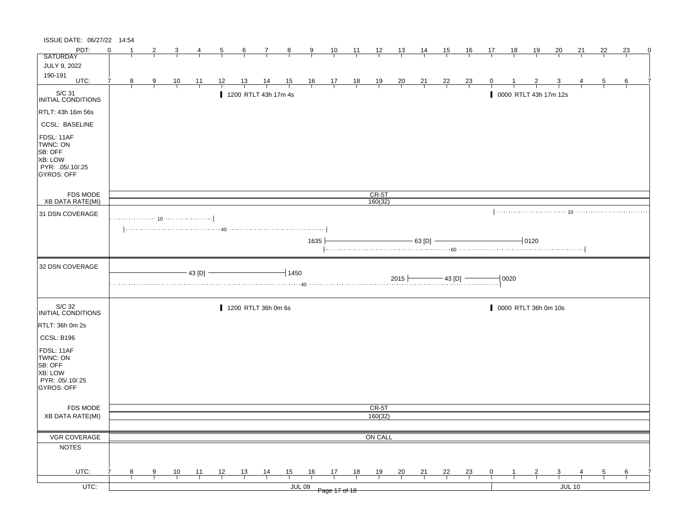| ISSUE DATE: 06/27/22 14:54                                                                   |          |   |   |                |                |    |           |                      |                |               |                                                                      |                |                |                |                |                |                |              |      |                       |                |               |                |    |   |
|----------------------------------------------------------------------------------------------|----------|---|---|----------------|----------------|----|-----------|----------------------|----------------|---------------|----------------------------------------------------------------------|----------------|----------------|----------------|----------------|----------------|----------------|--------------|------|-----------------------|----------------|---------------|----------------|----|---|
| PDT:                                                                                         | $\Omega$ |   | 2 | 3              | 4              | 5  | 6         | $\tau$               | $\frac{8}{1}$  | $\frac{9}{2}$ | $\frac{10}{1}$                                                       | $\frac{11}{2}$ | $\frac{12}{ }$ | $\frac{13}{2}$ | <u>14</u>      | 15             | <u>16</u>      | 17           | 18   | 19                    | <u>20</u>      | 21            | 22             | 23 | 0 |
| <b>SATURDAY</b>                                                                              |          |   |   |                |                |    |           |                      |                |               |                                                                      |                |                |                |                |                |                |              |      |                       |                |               |                |    |   |
| JULY 9, 2022                                                                                 |          |   |   |                |                |    |           |                      |                |               |                                                                      |                |                |                |                |                |                |              |      |                       |                |               |                |    |   |
| 190-191<br>UTC:                                                                              | 7        |   |   |                |                |    |           |                      |                |               |                                                                      |                |                |                |                |                |                |              |      |                       |                |               |                |    |   |
|                                                                                              |          | 8 | 9 | $\frac{10}{1}$ | $\frac{11}{1}$ | 12 | <u>13</u> | $\frac{14}{1}$       | $\frac{15}{1}$ |               | $\begin{array}{c cc} 16 & 17 & 18 \\ \hline &   &   &   \end{array}$ |                | $\frac{19}{1}$ | $\frac{20}{1}$ | $\frac{21}{1}$ | $\frac{22}{1}$ | $\frac{23}{1}$ | 0            |      |                       |                |               | $\overline{5}$ | 6  |   |
| S/C 31<br>INITIAL CONDITIONS                                                                 |          |   |   |                |                |    |           | 1200 RTLT 43h 17m 4s |                |               |                                                                      |                |                |                |                |                |                |              |      | 0000 RTLT 43h 17m 12s |                |               |                |    |   |
| RTLT: 43h 16m 56s                                                                            |          |   |   |                |                |    |           |                      |                |               |                                                                      |                |                |                |                |                |                |              |      |                       |                |               |                |    |   |
| <b>CCSL: BASELINE</b>                                                                        |          |   |   |                |                |    |           |                      |                |               |                                                                      |                |                |                |                |                |                |              |      |                       |                |               |                |    |   |
| FDSL: 11AF<br>TWNC: ON<br>SB: OFF<br><b>XB: LOW</b><br>PYR: .05/.10/.25<br><b>GYROS: OFF</b> |          |   |   |                |                |    |           |                      |                |               |                                                                      |                |                |                |                |                |                |              |      |                       |                |               |                |    |   |
| FDS MODE                                                                                     |          |   |   |                |                |    |           |                      |                |               |                                                                      |                | $CR-5T$        |                |                |                |                |              |      |                       |                |               |                |    |   |
| <b>XB DATA RATE(MI)</b>                                                                      |          |   |   |                |                |    |           |                      |                |               |                                                                      |                | 160(32)        |                |                |                |                |              |      |                       |                |               |                |    |   |
| 31 DSN COVERAGE                                                                              |          |   |   |                |                |    |           |                      |                |               |                                                                      |                |                |                |                |                |                |              |      |                       |                |               |                |    |   |
|                                                                                              |          |   |   |                |                |    |           |                      |                | 1635          |                                                                      |                |                |                | - 63 [D]       |                |                |              |      | $-10120$              |                |               |                |    |   |
| 32 DSN COVERAGE                                                                              |          |   |   |                | 43 [D]         |    |           |                      | 1450           |               |                                                                      |                |                |                |                |                |                |              |      |                       |                |               |                |    |   |
|                                                                                              |          |   |   |                |                |    |           |                      |                |               |                                                                      |                |                | $2015 +$       |                | $-43$ [D] $-$  |                |              | 0020 |                       |                |               |                |    |   |
| S/C 32<br>INITIAL CONDITIONS                                                                 |          |   |   |                |                |    |           | 1200 RTLT 36h 0m 6s  |                |               |                                                                      |                |                |                |                |                |                |              |      | 0000 RTLT 36h 0m 10s  |                |               |                |    |   |
| RTLT: 36h 0m 2s                                                                              |          |   |   |                |                |    |           |                      |                |               |                                                                      |                |                |                |                |                |                |              |      |                       |                |               |                |    |   |
| CCSL: B196                                                                                   |          |   |   |                |                |    |           |                      |                |               |                                                                      |                |                |                |                |                |                |              |      |                       |                |               |                |    |   |
| FDSL: 11AF<br>TWNC: ON<br>SB: OFF<br>XB: LOW<br>PYR: 05/10/25<br>GYROS: OFF                  |          |   |   |                |                |    |           |                      |                |               |                                                                      |                |                |                |                |                |                |              |      |                       |                |               |                |    |   |
| FDS MODE                                                                                     |          |   |   |                |                |    |           |                      |                |               |                                                                      |                | CR-5T          |                |                |                |                |              |      |                       |                |               |                |    |   |
| XB DATA RATE(MI)                                                                             |          |   |   |                |                |    |           |                      |                |               |                                                                      |                | 160(32)        |                |                |                |                |              |      |                       |                |               |                |    |   |
|                                                                                              |          |   |   |                |                |    |           |                      |                |               |                                                                      |                |                |                |                |                |                |              |      |                       |                |               |                |    |   |
| VGR COVERAGE                                                                                 |          |   |   |                |                |    |           |                      |                |               |                                                                      |                | ON CALL        |                |                |                |                |              |      |                       |                |               |                |    |   |
| <b>NOTES</b>                                                                                 |          |   |   |                |                |    |           |                      |                |               |                                                                      |                |                |                |                |                |                |              |      |                       |                |               |                |    |   |
| UTC:                                                                                         |          | 8 | 9 | 10             | 11             | 12 | 13        | $\frac{14}{1}$       | $\frac{15}{1}$ | 16            | 17                                                                   | 18             | 19             | $\frac{20}{1}$ | $\frac{21}{1}$ | 22             | $\frac{23}{1}$ | $\mathbf{0}$ | 1    | $\overline{2}$        | $\overline{3}$ |               | 5              | 6  |   |
|                                                                                              |          |   |   |                |                |    |           |                      |                |               |                                                                      |                |                |                |                |                |                |              |      |                       |                |               |                |    |   |
| $UTC$ :                                                                                      |          |   |   |                |                |    |           |                      |                | <b>JUL 09</b> | Page 17 of 18                                                        |                |                |                |                |                |                |              |      |                       |                | <b>JUL 10</b> |                |    |   |